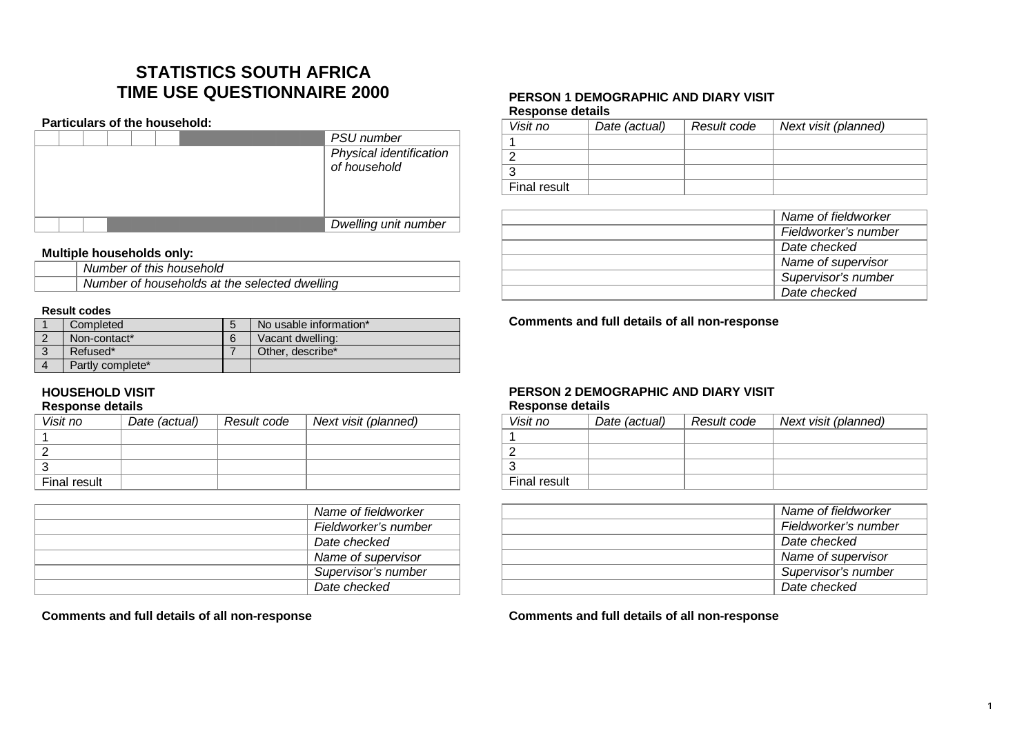# **STATISTICS SOUTH AFRICA TIME USE QUESTIONNAIRE 2000**

## **Particulars of the household:**

| <b>PSU</b> number                       |
|-----------------------------------------|
| Physical identification<br>of household |
|                                         |
|                                         |
| Dwelling unit number                    |

## **Multiple households only:**

| .                                             |
|-----------------------------------------------|
| Number of this household                      |
| Number of households at the selected dwelling |

## **Result codes**

| Completed        | No usable information* |
|------------------|------------------------|
| Non-contact*     | Vacant dwelling:       |
| Refused*         | Other, describe*       |
| Partly complete* |                        |

## **HOUSEHOLD VISIT**

## **Response details**

| Visit no     | Date (actual) | Result code | Next visit (planned) |
|--------------|---------------|-------------|----------------------|
|              |               |             |                      |
|              |               |             |                      |
|              |               |             |                      |
| Final result |               |             |                      |

| Name of fieldworker  |
|----------------------|
| Fieldworker's number |
| Date checked         |
| Name of supervisor   |
| Supervisor's number  |
| Date checked         |

## **Comments and full details of all non-response**

## **PERSON 1 DEMOGRAPHIC AND DIARY VISIT Response details**

| Visit no     | Date (actual) | Result code | Next visit (planned) |
|--------------|---------------|-------------|----------------------|
|              |               |             |                      |
|              |               |             |                      |
|              |               |             |                      |
| Final result |               |             |                      |

| Name of fieldworker  |
|----------------------|
| Fieldworker's number |
| Date checked         |
| Name of supervisor   |
| Supervisor's number  |
| Date checked         |

**Comments and full details of all non-response**

#### **PERSON 2 DEMOGRAPHIC AND DIARY VISIT Response details**

**Final result** 

| nooponoo uotano |               |             |                      |  |
|-----------------|---------------|-------------|----------------------|--|
| Visit no        | Date (actual) | Result code | Next visit (planned) |  |
|                 |               |             |                      |  |
|                 |               |             |                      |  |
|                 |               |             |                      |  |

| Name of fieldworker  |
|----------------------|
| Fieldworker's number |
| Date checked         |
| Name of supervisor   |
| Supervisor's number  |
| Date checked         |

**Comments and full details of all non-response**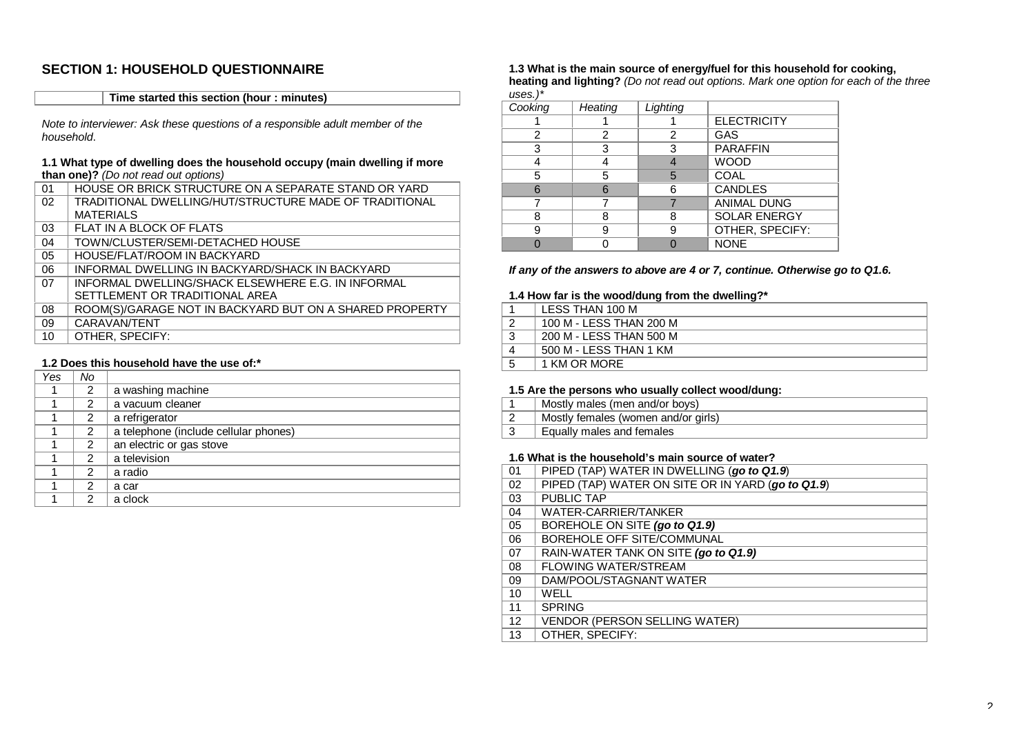## **SECTION 1: HOUSEHOLD QUESTIONNAIRE**

## **Time started this section (hour : minutes)**

*Note to interviewer: Ask these questions of a responsible adult member of the household*.

### **1.1 What type of dwelling does the household occupy (main dwelling if more than one)?** *(Do not read out options)*

| -01 | HOUSE OR BRICK STRUCTURE ON A SEPARATE STAND OR YARD   |
|-----|--------------------------------------------------------|
| -02 | TRADITIONAL DWELLING/HUT/STRUCTURE MADE OF TRADITIONAL |
|     | MATERIALS                                              |
| -03 | FLAT IN A BLOCK OF FLATS                               |
| -04 | TOWN/CLUSTER/SEMI-DETACHED HOUSE                       |
| 05  | HOUSE/FLAT/ROOM IN BACKYARD                            |
|     |                                                        |

06 | INFORMAL DWELLING IN BACKYARD/SHACK IN BACKYARD

| ່ 07 | INFORMAL DWELLING/SHACK ELSEWHERE E.G. IN INFORMAL<br>I SETTLEMENT OR TRADITIONAL AREA |
|------|----------------------------------------------------------------------------------------|
|      |                                                                                        |
|      | ROOM(S)/GARAGE NOT IN BACKYARD BUT ON A SHARED PROPERTY                                |

| 09  | CARAVAN/TENT    |
|-----|-----------------|
| -10 | OTHER, SPECIFY: |

#### **1.2 Does this household have the use of:\***

| Yes | No |                                       |
|-----|----|---------------------------------------|
|     | 2  | a washing machine                     |
|     | 2  | a vacuum cleaner                      |
|     | 2  | a refrigerator                        |
|     | 2  | a telephone (include cellular phones) |
|     | 2  | an electric or gas stove              |
|     | 2  | a television                          |
|     | 2  | a radio                               |
|     | 2  | a car                                 |
|     | 2  | a clock                               |

## **1.3 What is the main source of energy/fuel for this household for cooking,**

**heating and lighting?** *(Do not read out options. Mark one option for each of the three uses.)\**

| Cooking | Heating | Lighting |                     |
|---------|---------|----------|---------------------|
|         |         |          | <b>ELECTRICITY</b>  |
| 2       | 2       | 2        | GAS                 |
| 3       | 3       | 3        | <b>PARAFFIN</b>     |
|         |         |          | <b>WOOD</b>         |
| 5       | 5       | 5        | <b>COAL</b>         |
| հ       | 6       | հ        | <b>CANDLES</b>      |
|         |         |          | <b>ANIMAL DUNG</b>  |
| 8       | 8       | 8        | <b>SOLAR ENERGY</b> |
| 9       | 9       | 9        | OTHER, SPECIFY:     |
|         |         |          | <b>NONE</b>         |

## *If any of the answers to above are 4 or 7, continue. Otherwise go to Q1.6.*

## **1.4 How far is the wood/dung from the dwelling?\***

|                | -                       |
|----------------|-------------------------|
|                | LESS THAN 100 M         |
| $\overline{2}$ | 100 M - LESS THAN 200 M |
| 3              | 200 M - LESS THAN 500 M |
| $\overline{4}$ | 500 M - LESS THAN 1 KM  |
| -5             | 1 KM OR MORE            |

## **1.5 Are the persons who usually collect wood/dung:**

| Mostly males (men and/or boys)      |
|-------------------------------------|
| Mostly females (women and/or girls) |
| Equally males and females           |

## **1.6 What is the household's main source of water?**

| 01 | PIPED (TAP) WATER IN DWELLING (go to Q1.9)        |
|----|---------------------------------------------------|
| 02 | PIPED (TAP) WATER ON SITE OR IN YARD (go to Q1.9) |
| 03 | PUBLIC TAP                                        |
| 04 | WATER-CARRIER/TANKER                              |
| 05 | BOREHOLE ON SITE (go to Q1.9)                     |
| 06 | BOREHOLE OFF SITE/COMMUNAL                        |
| 07 | RAIN-WATER TANK ON SITE (go to Q1.9)              |
| 08 | <b>FLOWING WATER/STREAM</b>                       |
| 09 | DAM/POOL/STAGNANT WATER                           |
| 10 | WELL                                              |
| 11 | <b>SPRING</b>                                     |
| 12 | <b>VENDOR (PERSON SELLING WATER)</b>              |
| 13 | OTHER, SPECIFY:                                   |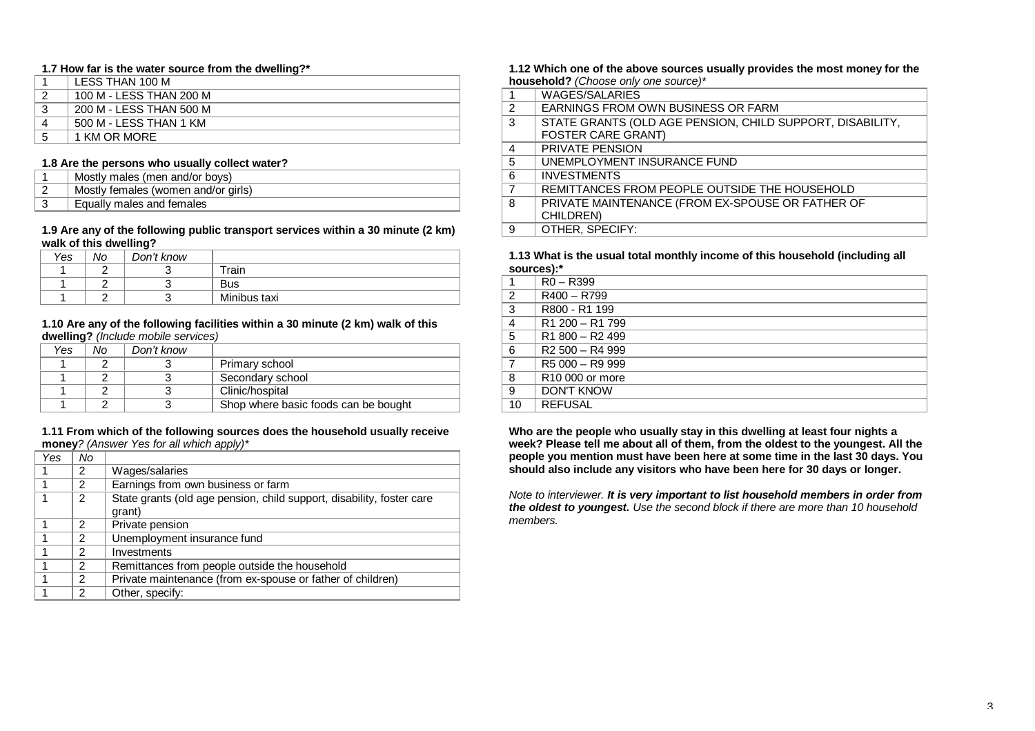### **1.7 How far is the water source from the dwelling?\***

|   | LESS THAN 100 M         |
|---|-------------------------|
| 2 | 100 M - LESS THAN 200 M |
| 3 | 200 M - LESS THAN 500 M |
| 4 | 500 M - LESS THAN 1 KM  |
| 5 | 1 KM OR MORE            |
|   |                         |

### **1.8 Are the persons who usually collect water?**

| Mostly males (men and/or boys)      |
|-------------------------------------|
| Mostly females (women and/or girls) |
| Equally males and females           |

## **1.9 Are any of the following public transport services within a 30 minute (2 km) walk of this dwelling?**

| Yes | No | Don't know |              |
|-----|----|------------|--------------|
|     |    |            | Train        |
|     |    |            | Bus          |
|     |    |            | Minibus taxi |

### **1.10 Are any of the following facilities within a 30 minute (2 km) walk of this dwelling?** *(Include mobile services)*

| Yes | No | Don't know |                                      |
|-----|----|------------|--------------------------------------|
|     |    |            | Primary school                       |
|     |    |            | Secondary school                     |
|     |    |            | Clinic/hospital                      |
|     |    |            | Shop where basic foods can be bought |

## **1.11 From which of the following sources does the household usually receive money***? (Answer Yes for all which apply)\**

| Yes | No |                                                                                 |
|-----|----|---------------------------------------------------------------------------------|
|     | 2  | Wages/salaries                                                                  |
|     | 2  | Earnings from own business or farm                                              |
|     | 2  | State grants (old age pension, child support, disability, foster care<br>grant) |
|     | 2  | Private pension                                                                 |
|     | 2  | Unemployment insurance fund                                                     |
|     | 2  | Investments                                                                     |
|     | 2  | Remittances from people outside the household                                   |
|     | 2  | Private maintenance (from ex-spouse or father of children)                      |
|     | 2  | Other, specify:                                                                 |

#### **1.12 Which one of the above sources usually provides the most money for the household?** *(Choose only one source)\**

| 1              | <b>WAGES/SALARIES</b>                                     |
|----------------|-----------------------------------------------------------|
| 2              | EARNINGS FROM OWN BUSINESS OR FARM                        |
| 3              | STATE GRANTS (OLD AGE PENSION, CHILD SUPPORT, DISABILITY, |
|                | <b>FOSTER CARE GRANT)</b>                                 |
| $\overline{4}$ | PRIVATE PENSION                                           |
| -5             | UNEMPLOYMENT INSURANCE FUND                               |
| -6             | <b>INVESTMENTS</b>                                        |
| $\overline{7}$ | REMITTANCES FROM PEOPLE OUTSIDE THE HOUSEHOLD             |
| 8              | PRIVATE MAINTENANCE (FROM EX-SPOUSE OR FATHER OF          |
|                | CHILDREN)                                                 |
| 9              | OTHER, SPECIFY:                                           |
|                |                                                           |

#### **1.13 What is the usual total monthly income of this household (including all sources):\***

|    | -------                                 |
|----|-----------------------------------------|
|    | $R0 - R399$                             |
| 2  | R400 - R799                             |
| 3  | R800 - R1 199                           |
| 4  | R <sub>1</sub> 200 - R <sub>1</sub> 799 |
| 5  | R <sub>1</sub> 800 - R <sub>2</sub> 499 |
| 6  | R <sub>2</sub> 500 - R <sub>4</sub> 999 |
| 7  | R5 000 - R9 999                         |
| 8  | R <sub>10</sub> 000 or more             |
| 9  | <b>DON'T KNOW</b>                       |
| 10 | <b>REFUSAL</b>                          |

**Who are the people who usually stay in this dwelling at least four nights a week? Please tell me about all of them, from the oldest to the youngest. All the people you mention must have been here at some time in the last 30 days. You should also include any visitors who have been here for 30 days or longer.**

*Note to interviewer. It is very important to list household members in order from the oldest to youngest. Use the second block if there are more than 10 household members.*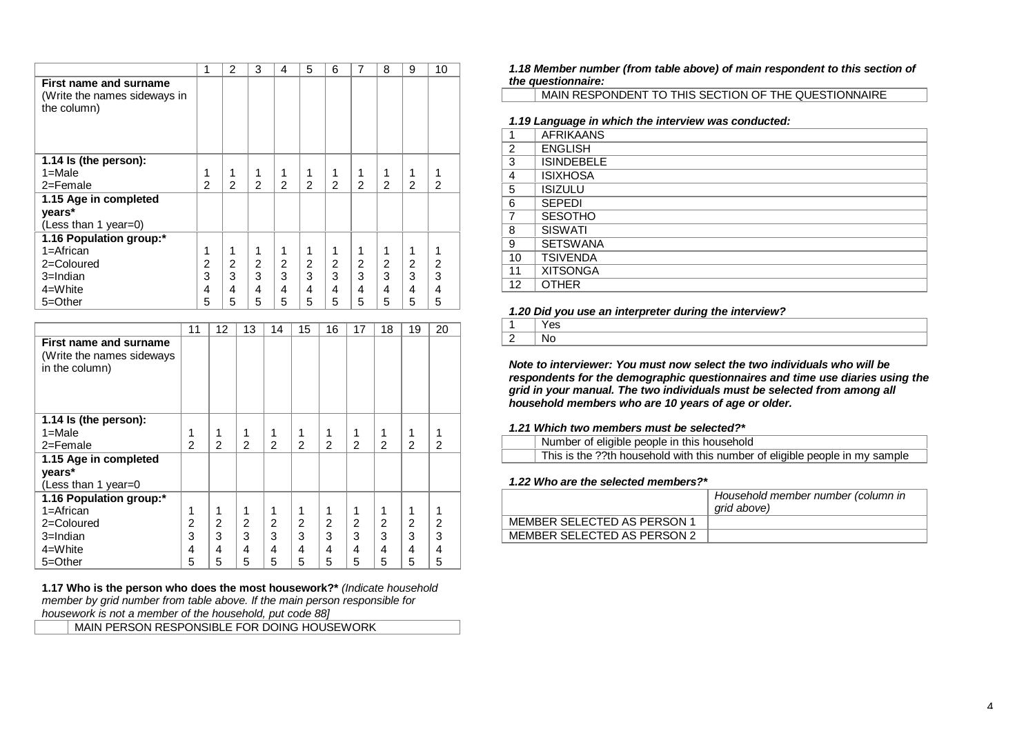|                                                                              | 1              | $\overline{2}$ | 3              | 4              | 5              | 6              | 7              | 8              | 9              | 10             |
|------------------------------------------------------------------------------|----------------|----------------|----------------|----------------|----------------|----------------|----------------|----------------|----------------|----------------|
| <b>First name and surname</b><br>(Write the names sideways in<br>the column) |                |                |                |                |                |                |                |                |                |                |
| 1.14 Is (the person):                                                        |                |                |                |                |                |                |                |                |                |                |
| $1 = Male$                                                                   | 1              | 1              | 1              | 1              | 1              | 1              | 1              | 1              | 1              | 1              |
| 2=Female                                                                     | $\overline{2}$ | 2              | $\overline{2}$ | $\overline{2}$ | $\overline{2}$ | 2              | 2              | $\overline{2}$ | $\overline{2}$ | $\overline{2}$ |
| 1.15 Age in completed<br>years*                                              |                |                |                |                |                |                |                |                |                |                |
| (Less than 1 year=0)                                                         |                |                |                |                |                |                |                |                |                |                |
| 1.16 Population group:*                                                      |                |                |                |                |                |                |                |                |                |                |
| $1 =$ African                                                                | 1              | 1              | 1              | 1              | 1              | 1              | 1              | 1              | 1              | 1              |
| 2=Coloured                                                                   | $\overline{c}$ | 2              | $\overline{2}$ | $\overline{2}$ | $\overline{c}$ | $\overline{2}$ | $\overline{2}$ | 2              | $\overline{a}$ | 2              |
| 3=Indian                                                                     | 3              | 3              | 3              | 3              | 3              | 3              | 3              | 3              | 3              | 3              |
| 4=White                                                                      | 4              | 4              | 4              | 4              | $\overline{4}$ | 4              | 4              | 4              | 4              | 4              |
| 5=Other                                                                      | 5              | 5              | 5              | 5              | 5              | 5              | 5              | 5              | 5              | 5              |

|                                                                          | 11 | 12                  | 13                  | 14                  | 15             | 16             | 17             | 18             | 19                  | 20 |
|--------------------------------------------------------------------------|----|---------------------|---------------------|---------------------|----------------|----------------|----------------|----------------|---------------------|----|
| First name and surname<br>(Write the names sideways<br>in the column)    |    |                     |                     |                     |                |                |                |                |                     |    |
| 1.14 ls (the person):<br>$1 = Male$<br>2=Female<br>1.15 Age in completed |    | 1<br>$\overline{2}$ | 1<br>$\mathfrak{p}$ | 1<br>$\overline{2}$ | 1<br>2         | 2              | $\overline{2}$ | 1<br>2         | 1<br>$\mathfrak{p}$ | 2  |
| years*<br>(Less than 1 year=0                                            |    |                     |                     |                     |                |                |                |                |                     |    |
| 1.16 Population group:*                                                  |    |                     |                     |                     |                |                |                |                |                     |    |
| $1 =$ African                                                            | 1  | 1                   | 1                   | 1                   | 1              |                |                | 1              |                     |    |
| 2=Coloured                                                               | 2  | 2                   | $\overline{2}$      | $\overline{2}$      | $\overline{2}$ | $\overline{2}$ | $\overline{2}$ | $\overline{2}$ | $\overline{2}$      | 2  |
| 3=Indian                                                                 | 3  | 3                   | 3                   | 3                   | 3              | 3              | 3              | 3              | 3                   | 3  |
| 4=White                                                                  | 4  | 4                   | $\overline{4}$      | 4                   | 4              | 4              | 4              | 4              | 4                   | 4  |
| 5=Other                                                                  | 5  | 5                   | 5                   | 5                   | 5              | 5              | 5              | 5              | 5                   | 5  |

**1.17 Who is the person who does the most housework?\*** *(Indicate household member by grid number from table above. If the main person responsible for housework is not a member of the household, put code 88]*

MAIN PERSON RESPONSIBLE FOR DOING HOUSEWORK

## *1.18 Member number (from table above) of main respondent to this section of the questionnaire:*

MAIN RESPONDENT TO THIS SECTION OF THE QUESTIONNAIRE

## *1.19 Language in which the interview was conducted:*

|    | ີ                 |
|----|-------------------|
| 1  | <b>AFRIKAANS</b>  |
| 2  | <b>ENGLISH</b>    |
| 3  | <b>ISINDEBELE</b> |
| 4  | <b>ISIXHOSA</b>   |
| 5  | <b>ISIZULU</b>    |
| 6  | <b>SEPEDI</b>     |
| 7  | <b>SESOTHO</b>    |
| 8  | <b>SISWATI</b>    |
| 9  | <b>SETSWANA</b>   |
| 10 | <b>TSIVENDA</b>   |
| 11 | <b>XITSONGA</b>   |
| 12 | <b>OTHER</b>      |
|    |                   |

## *1.20 Did you use an interpreter during the interview?*

| ≚es |  |  |  |  |
|-----|--|--|--|--|
|     |  |  |  |  |
|     |  |  |  |  |

*Note to interviewer: You must now select the two individuals who will be respondents for the demographic questionnaires and time use diaries using the grid in your manual. The two individuals must be selected from among all household members who are 10 years of age or older.*

## *1.21 Which two members must be selected?\**

| Number of eligible people in this household                                 |
|-----------------------------------------------------------------------------|
| This is the ??th household with this number of eligible people in my sample |

## *1.22 Who are the selected members?\**

|                             | Household member number (column in<br>grid above) |
|-----------------------------|---------------------------------------------------|
| MEMBER SELECTED AS PERSON 1 |                                                   |
| MEMBER SELECTED AS PERSON 2 |                                                   |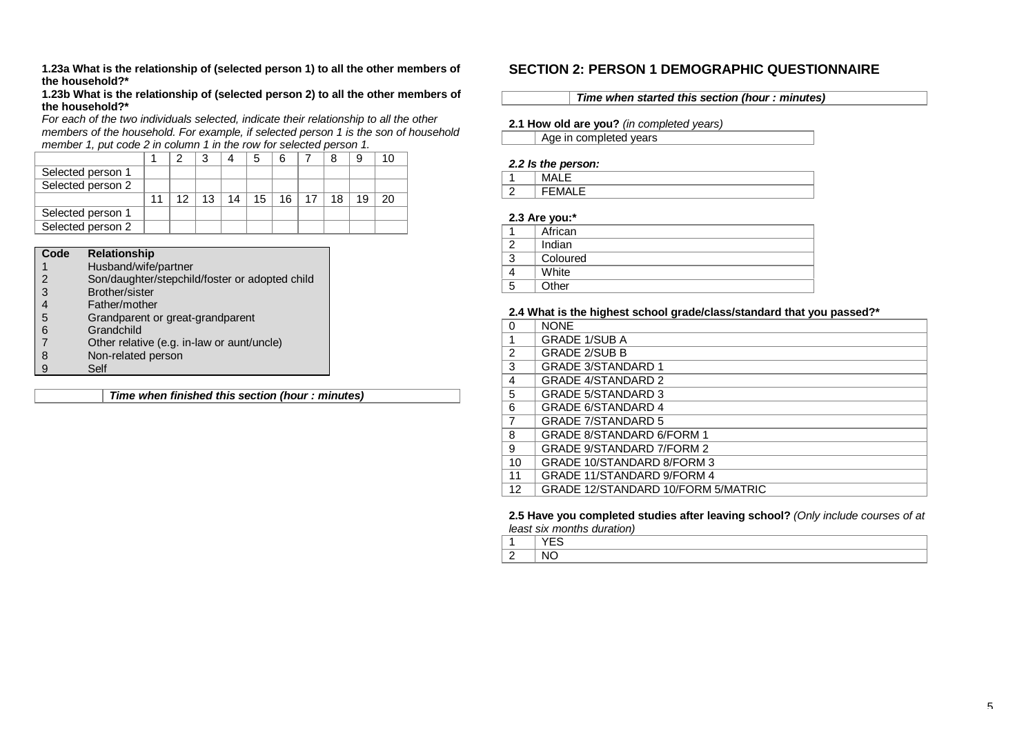**1.23a What is the relationship of (selected person 1) to all the other members of the household?\***

**1.23b What is the relationship of (selected person 2) to all the other members of the household?\***

*For each of the two individuals selected, indicate their relationship to all the other members of the household. For example, if selected person 1 is the son of household member 1, put code 2 in column 1 in the row for selected person 1.*

|                   | c               |    |    | 5     |                    |    |    |
|-------------------|-----------------|----|----|-------|--------------------|----|----|
| Selected person 1 |                 |    |    |       |                    |    |    |
| Selected person 2 |                 |    |    |       |                    |    |    |
|                   | 12 <sup>°</sup> | 13 | 14 | $+15$ | $.16$ <sup>+</sup> | 18 | 20 |
| Selected person 1 |                 |    |    |       |                    |    |    |
| Selected person 2 |                 |    |    |       |                    |    |    |

## **Code Relationship**

- 1 Husband/wife/partner<br>2 Son/daughter/stepchil
- 2 Son/daughter/stepchild/foster or adopted child
- 3 Brother/sister<br>4 Father/mother
- 4 Father/mother<br>5 Grandparent of
- 5 Grandparent or great-grandparent
- **Grandchild**
- 7 Other relative (e.g. in-law or aunt/uncle)
- 8 Non-related person
- 9 Self

*Time when finished this section (hour : minutes)*

## **SECTION 2: PERSON 1 DEMOGRAPHIC QUESTIONNAIRE**

## *Time when started this section (hour : minutes)*

## **2.1 How old are you?** *(in completed years)*

Age in completed years

#### *2.2 Is the person:*

## **2.3 Are you:\***

|   | African  |
|---|----------|
|   | Indian   |
| ົ | Coloured |
|   | White    |
|   | Other    |

### **2.4 What is the highest school grade/class/standard that you passed?\***

| 0              | <b>NONE</b>                        |
|----------------|------------------------------------|
| 1              | <b>GRADE 1/SUB A</b>               |
| $\overline{2}$ | <b>GRADE 2/SUB B</b>               |
| 3              | <b>GRADE 3/STANDARD 1</b>          |
| 4              | <b>GRADE 4/STANDARD 2</b>          |
| 5              | <b>GRADE 5/STANDARD 3</b>          |
| 6              | <b>GRADE 6/STANDARD 4</b>          |
| 7              | <b>GRADE 7/STANDARD 5</b>          |
| 8              | <b>GRADE 8/STANDARD 6/FORM 1</b>   |
| 9              | GRADE 9/STANDARD 7/FORM 2          |
| 10             | GRADE 10/STANDARD 8/FORM 3         |
| 11             | GRADE 11/STANDARD 9/FORM 4         |
| 12             | GRADE 12/STANDARD 10/FORM 5/MATRIC |

## **2.5 Have you completed studies after leaving school?** *(Only include courses of at least six months duration)*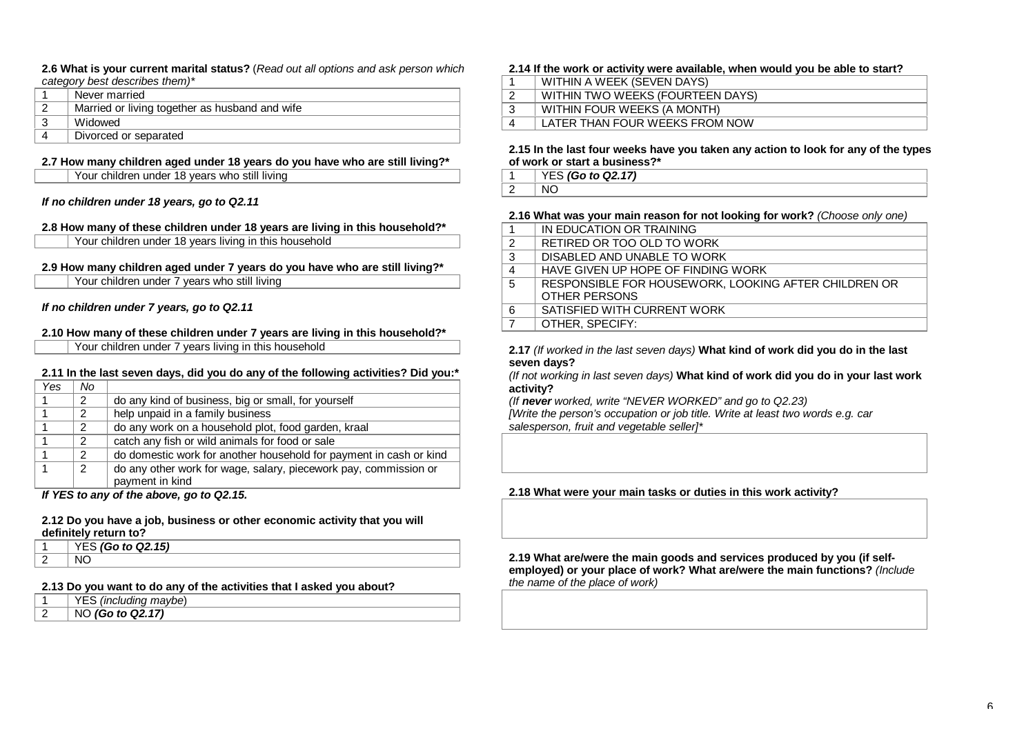### **2.6 What is your current marital status?** (*Read out all options and ask person which category best describes them)\**

| Never married                                  |
|------------------------------------------------|
| Married or living together as husband and wife |
| Widowed                                        |
| Divorced or separated                          |

## **2.7 How many children aged under 18 years do you have who are still living?\***

| Your children under 18 years who still living |
|-----------------------------------------------|
|-----------------------------------------------|

## *If no children under 18 years, go to Q2.11*

### **2.8 How many of these children under 18 years are living in this household?\***

Your children under 18 years living in this household

### **2.9 How many children aged under 7 years do you have who are still living?\***

Your children under 7 years who still living

## *If no children under 7 years, go to Q2.11*

### **2.10 How many of these children under 7 years are living in this household?\***

Your children under 7 years living in this household

## **2.11 In the last seven days, did you do any of the following activities? Did you:\***

| Yes | No             |                                                                    |
|-----|----------------|--------------------------------------------------------------------|
|     | 2              | do any kind of business, big or small, for yourself                |
|     | 2              | help unpaid in a family business                                   |
|     | 2              | do any work on a household plot, food garden, kraal                |
|     | 2              | catch any fish or wild animals for food or sale                    |
|     | 2              | do domestic work for another household for payment in cash or kind |
|     | $\overline{2}$ | do any other work for wage, salary, piecework pay, commission or   |
|     |                | payment in kind                                                    |

*If YES to any of the above, go to Q2.15.*

## **2.12 Do you have a job, business or other economic activity that you will definitely return to?**

|   | to Q2.15) |
|---|-----------|
| - |           |

## **2.13 Do you want to do any of the activities that I asked you about?**

| YES (including maybe)<br>. |
|----------------------------|
| NO (Go to Q2.17)           |

## **2.14 If the work or activity were available, when would you be able to start?**

| WITHIN A WEEK (SEVEN DAYS)       |
|----------------------------------|
| WITHIN TWO WEEKS (FOURTEEN DAYS) |
| WITHIN FOUR WEEKS (A MONTH)      |
| LATER THAN FOUR WEEKS FROM NOW   |
|                                  |

## **2.15 In the last four weeks have you taken any action to look for any of the types of work or start a business?\***

| A           | <b>YES</b> (Go to Q2.17) |
|-------------|--------------------------|
| $\sim$<br>∠ | . NG                     |

## **2.16 What was your main reason for not looking for work?** *(Choose only one)*

| $\mathbf{1}$   | IN EDUCATION OR TRAINING                             |
|----------------|------------------------------------------------------|
| $\overline{2}$ | RETIRED OR TOO OLD TO WORK                           |
| 3              | DISABLED AND UNABLE TO WORK                          |
| $\overline{4}$ | HAVE GIVEN UP HOPE OF FINDING WORK                   |
| 5              | RESPONSIBLE FOR HOUSEWORK, LOOKING AFTER CHILDREN OR |
|                | <b>OTHER PERSONS</b>                                 |
| 6              | SATISFIED WITH CURRENT WORK                          |
| 7              | OTHER, SPECIFY:                                      |
|                |                                                      |

**2.17** *(If worked in the last seven days)* **What kind of work did you do in the last seven days?**

*(If not working in last seven days)* **What kind of work did you do in your last work activity?**

*(If never worked, write "NEVER WORKED" and go to Q2.23)*

*[Write the person's occupation or job title. Write at least two words e.g. car salesperson, fruit and vegetable seller]\**

## **2.18 What were your main tasks or duties in this work activity?**

**2.19 What are/were the main goods and services produced by you (if selfemployed) or your place of work? What are/were the main functions?** *(Include the name of the place of work)*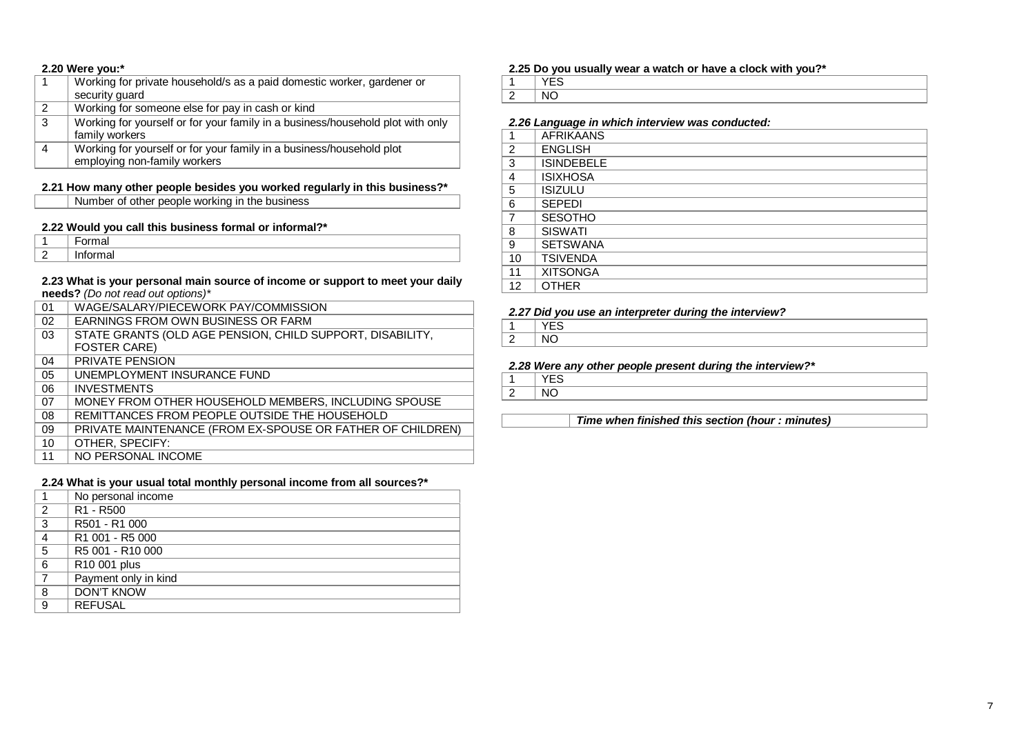## **2.20 Were you:\***

|   | Working for private household/s as a paid domestic worker, gardener or         |
|---|--------------------------------------------------------------------------------|
|   | security quard                                                                 |
| 2 | Working for someone else for pay in cash or kind                               |
| 3 | Working for yourself or for your family in a business/household plot with only |
|   | family workers                                                                 |
| 4 | Working for yourself or for your family in a business/household plot           |
|   | employing non-family workers                                                   |

## **2.21 How many other people besides you worked regularly in this business?\***

Number of other people working in the business

## **2.22 Would you call this business formal or informal?\***

|   | -----  |
|---|--------|
| - | ື<br>. |

## **2.23 What is your personal main source of income or support to meet your daily needs?** *(Do not read out options)\**

| 01 | WAGE/SALARY/PIECEWORK PAY/COMMISSION                       |
|----|------------------------------------------------------------|
| 02 | EARNINGS FROM OWN BUSINESS OR FARM                         |
| 03 | STATE GRANTS (OLD AGE PENSION, CHILD SUPPORT, DISABILITY,  |
|    | <b>FOSTER CARE)</b>                                        |
| 04 | <b>PRIVATE PENSION</b>                                     |
| 05 | UNEMPLOYMENT INSURANCE FUND                                |
| 06 | <b>INVESTMENTS</b>                                         |
| 07 | MONEY FROM OTHER HOUSEHOLD MEMBERS. INCLUDING SPOUSE       |
| 08 | REMITTANCES FROM PEOPLE OUTSIDE THE HOUSEHOLD              |
| 09 | PRIVATE MAINTENANCE (FROM EX-SPOUSE OR FATHER OF CHILDREN) |
| 10 | OTHER, SPECIFY:                                            |
| 11 | NO PERSONAL INCOME                                         |
|    |                                                            |

## **2.24 What is your usual total monthly personal income from all sources?\***

|                | No personal income                      |
|----------------|-----------------------------------------|
| 2              | R <sub>1</sub> - R <sub>500</sub>       |
| 3              | R501 - R1 000                           |
| 4              | R <sub>1</sub> 001 - R <sub>5</sub> 000 |
| 5              | R5 001 - R10 000                        |
| 6              | R10 001 plus                            |
| $\overline{7}$ | Payment only in kind                    |
| 8              | <b>DON'T KNOW</b>                       |
| 9              | <b>REFUSAL</b>                          |

## **2.25 Do you usually wear a watch or have a clock with you?\***

| ⌒<br><u>.</u> |  |  |
|---------------|--|--|
|               |  |  |

## *2.26 Language in which interview was conducted:*

| 1              | <b>AFRIKAANS</b>  |
|----------------|-------------------|
| 2              | <b>ENGLISH</b>    |
| 3              | <b>ISINDEBELE</b> |
| 4              | <b>ISIXHOSA</b>   |
| 5              | <b>ISIZULU</b>    |
| 6              | <b>SEPEDI</b>     |
| $\overline{7}$ | <b>SESOTHO</b>    |
| 8              | <b>SISWATI</b>    |
| 9              | <b>SETSWANA</b>   |
| 10             | <b>TSIVENDA</b>   |
| 11             | <b>XITSONGA</b>   |
| 12             | <b>OTHER</b>      |

## *2.27 Did you use an interpreter during the interview?*

|   |  |  | . . |  |
|---|--|--|-----|--|
| 4 |  |  |     |  |
| 2 |  |  |     |  |
|   |  |  |     |  |

## *2.28 Were any other people present during the interview?\**

| $\sqrt{2}$<br>, |  |
|-----------------|--|

*Time when finished this section (hour : minutes)*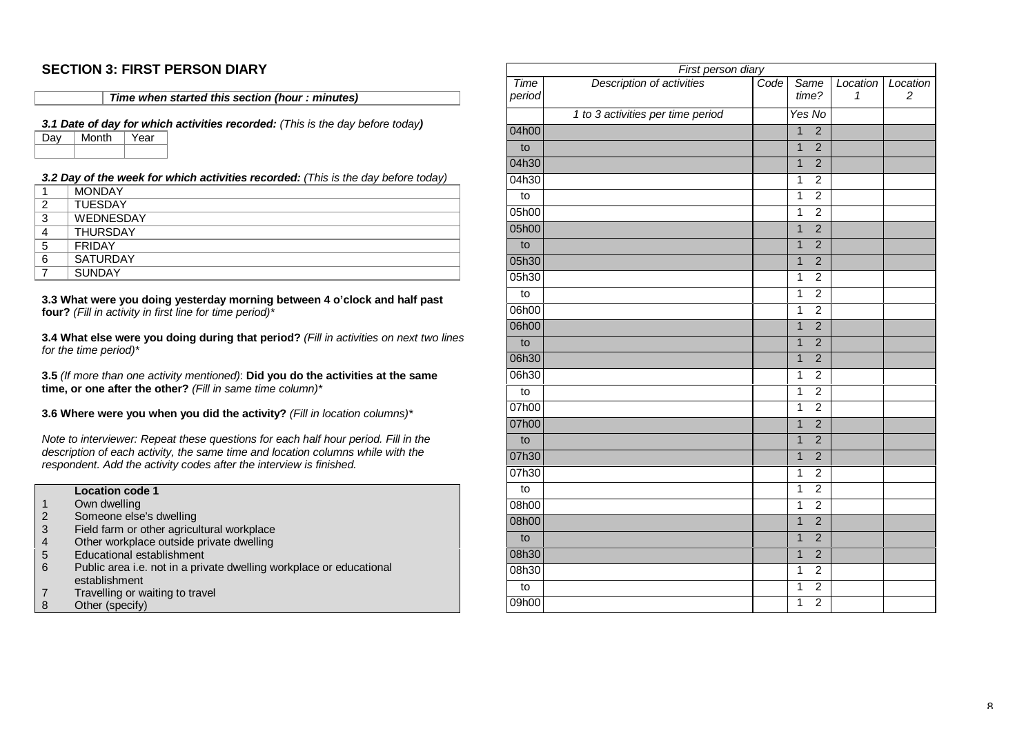## **SECTION 3: FIRST PERSON DIARY**

*Time when started this section (hour : minutes)*

*3.1 Date of day for which activities recorded: (This is the day before today)* Day | Month | Year

## *3.2 Day of the week for which activities recorded: (This is the day before today)*

|                | <b>MONDAY</b>   |
|----------------|-----------------|
| $\overline{2}$ | TUESDAY         |
| 3              | WEDNESDAY       |
| 4              | <b>THURSDAY</b> |
| 5              | <b>FRIDAY</b>   |
| 6              | <b>SATURDAY</b> |
|                | <b>SUNDAY</b>   |

**3.3 What were you doing yesterday morning between 4 o'clock and half past four?** *(Fill in activity in first line for time period)\**

**3.4 What else were you doing during that period?** *(Fill in activities on next two lines for the time period)\**

**3.5** *(If more than one activity mentioned)*: **Did you do the activities at the same time, or one after the other?** *(Fill in same time column)\**

**3.6 Where were you when you did the activity?** *(Fill in location columns)\**

*Note to interviewer: Repeat these questions for each half hour period. Fill in the description of each activity, the same time and location columns while with the respondent. Add the activity codes after the interview is finished.*

|                | <b>Location code 1</b>                                                                      |
|----------------|---------------------------------------------------------------------------------------------|
| $\mathbf 1$    | Own dwelling                                                                                |
| $\overline{2}$ | Someone else's dwelling                                                                     |
| 3              | Field farm or other agricultural workplace                                                  |
| $\overline{4}$ | Other workplace outside private dwelling                                                    |
| 5              | Educational establishment                                                                   |
| 6              | Public area <i>i.e.</i> not in a private dwelling workplace or educational<br>establishment |
| 7              | Travelling or waiting to travel                                                             |
| 8              | Other (specify)                                                                             |

|                | First person diary                |      |                                  |               |               |
|----------------|-----------------------------------|------|----------------------------------|---------------|---------------|
| Time<br>period | Description of activities         | Code | Same<br>time?                    | Location<br>1 | Location<br>2 |
|                | 1 to 3 activities per time period |      | Yes No                           |               |               |
| 04h00          |                                   |      | $\mathbf{1}$<br>$\overline{2}$   |               |               |
| to             |                                   |      | $\overline{1}$<br>$\overline{2}$ |               |               |
| 04h30          |                                   |      | 1<br>$\overline{2}$              |               |               |
| 04h30          |                                   |      | $\overline{c}$<br>1              |               |               |
| to             |                                   |      | $\overline{2}$<br>1              |               |               |
| 05h00          |                                   |      | 1<br>$\overline{2}$              |               |               |
| 05h00          |                                   |      | $\overline{2}$<br>$\mathbf{1}$   |               |               |
| to             |                                   |      | $\overline{2}$<br>$\mathbf{1}$   |               |               |
| 05h30          |                                   |      | $\overline{2}$<br>$\mathbf{1}$   |               |               |
| 05h30          |                                   |      | $\overline{2}$<br>1              |               |               |
| to             |                                   |      | $\overline{2}$<br>1              |               |               |
| 06h00          |                                   |      | $\overline{2}$<br>1              |               |               |
| 06h00          |                                   |      | $\mathbf{1}$<br>$\overline{2}$   |               |               |
| to             |                                   |      | $\overline{2}$<br>1              |               |               |
| 06h30          |                                   |      | $\overline{1}$<br>$\overline{2}$ |               |               |
| 06h30          |                                   |      | $\overline{c}$<br>1              |               |               |
| to             |                                   |      | $\overline{2}$<br>1              |               |               |
| 07h00          |                                   |      | 1<br>$\overline{2}$              |               |               |
| 07h00          |                                   |      | 1<br>$\overline{2}$              |               |               |
| to             |                                   |      | $\mathbf{1}$<br>$\overline{2}$   |               |               |
| 07h30          |                                   |      | 1<br>$\overline{2}$              |               |               |
| 07h30          |                                   |      | $\overline{2}$<br>1              |               |               |
| to             |                                   |      | $\overline{2}$<br>1              |               |               |
| 08h00          |                                   |      | 1<br>$\overline{2}$              |               |               |
| 08h00          |                                   |      | $\mathbf{1}$<br>$\overline{2}$   |               |               |
| to             |                                   |      | $\overline{2}$<br>1              |               |               |
| 08h30          |                                   |      | $\overline{2}$<br>1              |               |               |
| 08h30          |                                   |      | $\overline{2}$<br>1              |               |               |
| to             |                                   |      | $\overline{2}$<br>1              |               |               |
| 09h00          |                                   |      | 1<br>$\overline{2}$              |               |               |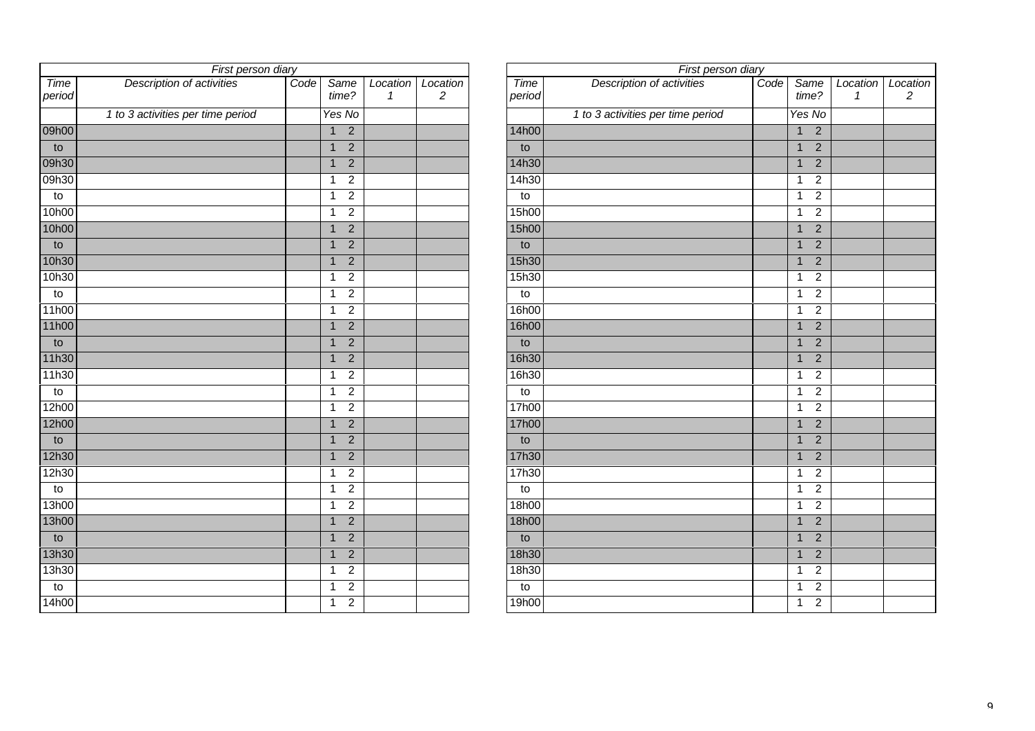|                | First person diary                |      |                                  |                          |                            |
|----------------|-----------------------------------|------|----------------------------------|--------------------------|----------------------------|
| Time<br>period | Description of activities         | Code | Same<br>time?                    | Location<br>$\mathcal I$ | Location<br>$\overline{2}$ |
|                | 1 to 3 activities per time period |      | Yes No                           |                          |                            |
| 09h00          |                                   |      | $\overline{1}$<br>$\overline{2}$ |                          |                            |
| to             |                                   |      | $\overline{1}$<br>$\overline{2}$ |                          |                            |
| 09h30          |                                   |      | $\overline{1}$<br>$\overline{2}$ |                          |                            |
| 09h30          |                                   |      | $\overline{c}$<br>1              |                          |                            |
| to             |                                   |      | $\overline{1}$<br>$\overline{2}$ |                          |                            |
| 10h00          |                                   |      | $\overline{2}$<br>$\overline{1}$ |                          |                            |
| 10h00          |                                   |      | $\overline{2}$<br>$\mathbf{1}$   |                          |                            |
| to             |                                   |      | $\overline{2}$<br>$\mathbf{1}$   |                          |                            |
| 10h30          |                                   |      | $\overline{1}$<br>$\overline{2}$ |                          |                            |
| 10h30          |                                   |      | $\overline{c}$<br>1              |                          |                            |
| to             |                                   |      | $\overline{1}$<br>$\overline{2}$ |                          |                            |
| 11h00          |                                   |      | $\overline{1}$<br>$\overline{2}$ |                          |                            |
| 11h00          |                                   |      | $\overline{1}$<br>$\overline{2}$ |                          |                            |
| to             |                                   |      | $\overline{1}$<br>$\overline{2}$ |                          |                            |
| 11h30          |                                   |      | $\overline{2}$<br>$\overline{1}$ |                          |                            |
| 11h30          |                                   |      | $\overline{c}$<br>1              |                          |                            |
| to             |                                   |      | $\overline{1}$<br>$\overline{2}$ |                          |                            |
| 12h00          |                                   |      | $\overline{2}$<br>$\mathbf{1}$   |                          |                            |
| 12h00          |                                   |      | $\overline{1}$<br>$\overline{2}$ |                          |                            |
| to             |                                   |      | $\overline{2}$<br>$\mathbf{1}$   |                          |                            |
| 12h30          |                                   |      | $\overline{1}$<br>$\overline{2}$ |                          |                            |
| 12h30          |                                   |      | 1<br>$\overline{c}$              |                          |                            |
| to             |                                   |      | $\overline{2}$<br>$\overline{1}$ |                          |                            |
| 13h00          |                                   |      | $\overline{2}$<br>$\mathbf{1}$   |                          |                            |
| 13h00          |                                   |      | $\overline{2}$<br>$\overline{1}$ |                          |                            |
| to             |                                   |      | $\overline{1}$<br>$\overline{2}$ |                          |                            |
| 13h30          |                                   |      | $\overline{2}$<br>$\overline{1}$ |                          |                            |
| 13h30          |                                   |      | $\overline{2}$<br>$\mathbf{1}$   |                          |                            |
| to             |                                   |      | $\overline{2}$<br>1              |                          |                            |
| 14h00          |                                   |      | $\overline{2}$<br>$\mathbf{1}$   |                          |                            |

|                | First person diary                |      |                                           |               |                            |
|----------------|-----------------------------------|------|-------------------------------------------|---------------|----------------------------|
| Time<br>period | Description of activities         | Code | Same<br>time?                             | Location<br>1 | Location<br>$\overline{c}$ |
|                | 1 to 3 activities per time period |      | Yes No                                    |               |                            |
| 14h00          |                                   |      | $\overline{1}$<br>$\overline{2}$          |               |                            |
| to             |                                   |      | $\overline{2}$<br>$\mathbf{1}$            |               |                            |
| 14h30          |                                   |      | $\overline{2}$<br>$\mathbf{1}$            |               |                            |
| 14h30          |                                   |      | $\overline{2}$<br>1                       |               |                            |
| to             |                                   |      | $\overline{1}$<br>$\overline{2}$          |               |                            |
| 15h00          |                                   |      | $\overline{1}$<br>$\overline{2}$          |               |                            |
| 15h00          |                                   |      | $\overline{1}$<br>$\overline{c}$          |               |                            |
| to             |                                   |      | $\overline{2}$<br>$\overline{1}$          |               |                            |
| 15h30          |                                   |      | $\overline{2}$<br>1                       |               |                            |
| 15h30          |                                   |      | $\overline{2}$<br>1                       |               |                            |
| to             |                                   |      | $\overline{1}$<br>$\overline{2}$          |               |                            |
| 16h00          |                                   |      | $\overline{1}$<br>$\overline{2}$          |               |                            |
| 16h00          |                                   |      | $\overline{1}$<br>$\overline{2}$          |               |                            |
| to             |                                   |      | $\overline{2}$<br>1                       |               |                            |
| 16h30          |                                   |      | $\overline{1}$<br>$\overline{2}$          |               |                            |
| 16h30          |                                   |      | $\overline{c}$<br>1                       |               |                            |
| to             |                                   |      | $\overline{1}$<br>$\overline{2}$          |               |                            |
| 17h00          |                                   |      | $\overline{1}$<br>$\overline{2}$          |               |                            |
| 17h00          |                                   |      | $\overline{2}$<br>1                       |               |                            |
| to             |                                   |      | $\overline{2}$<br>1                       |               |                            |
| 17h30          |                                   |      | $\overline{2}$<br>1                       |               |                            |
| 17h30          |                                   |      | $\overline{c}$<br>1                       |               |                            |
| to             |                                   |      | $\overline{1}$<br>$\overline{2}$          |               |                            |
| 18h00          |                                   |      | $\overline{1}$<br>$\overline{2}$          |               |                            |
| 18h00          |                                   |      | $\overline{2}$<br>$\overline{\mathbf{1}}$ |               |                            |
| to             |                                   |      | $\overline{c}$<br>$\mathbf{1}$            |               |                            |
| 18h30          |                                   |      | $\overline{1}$<br>$\overline{2}$          |               |                            |
| 18h30          |                                   |      | $\overline{c}$<br>1                       |               |                            |
| to             |                                   |      | 1<br>$\overline{2}$                       |               |                            |
| 19h00          |                                   |      | $\overline{2}$<br>1                       |               |                            |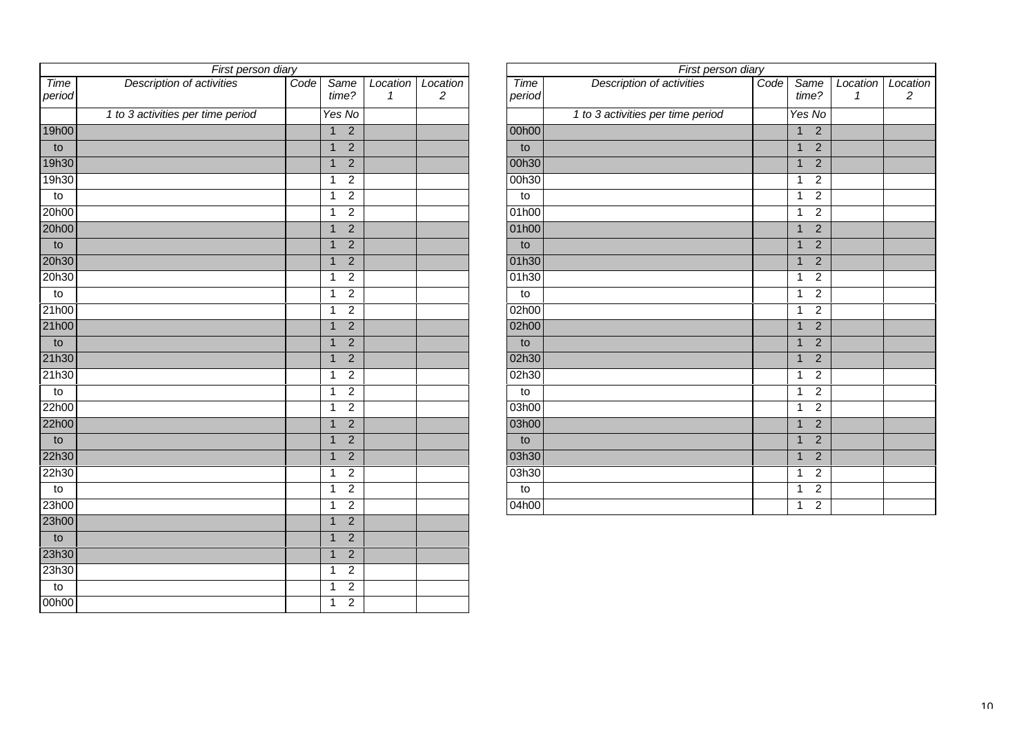|                                   | Code                      |                    |                | Location<br>1           | Location<br>$\overline{c}$ |
|-----------------------------------|---------------------------|--------------------|----------------|-------------------------|----------------------------|
| 1 to 3 activities per time period |                           |                    |                |                         |                            |
|                                   |                           | $\overline{1}$     | $\overline{2}$ |                         |                            |
|                                   |                           | $\overline{1}$     | $\overline{2}$ |                         |                            |
|                                   |                           | $\overline{1}$     | $\overline{2}$ |                         |                            |
|                                   |                           | 1                  | $\overline{c}$ |                         |                            |
|                                   |                           | $\overline{1}$     | $\overline{2}$ |                         |                            |
|                                   |                           | $\overline{1}$     | $\overline{2}$ |                         |                            |
|                                   |                           | 1                  | $\overline{c}$ |                         |                            |
|                                   |                           | $\mathbf{1}$       | $\overline{2}$ |                         |                            |
|                                   |                           | $\overline{1}$     | $\overline{2}$ |                         |                            |
|                                   |                           | 1                  | $\overline{c}$ |                         |                            |
|                                   |                           | $\overline{1}$     | $\overline{2}$ |                         |                            |
|                                   |                           | $\overline{1}$     | $\overline{2}$ |                         |                            |
|                                   |                           | $\overline{1}$     | $\overline{2}$ |                         |                            |
|                                   |                           | 1                  | $\overline{2}$ |                         |                            |
|                                   |                           | $\overline{1}$     | $\overline{2}$ |                         |                            |
|                                   |                           | 1                  | $\overline{c}$ |                         |                            |
|                                   |                           | $\overline{1}$     | $\overline{2}$ |                         |                            |
|                                   |                           | $\mathbf{1}$       | $\overline{2}$ |                         |                            |
|                                   |                           | $\overline{1}$     | $\overline{2}$ |                         |                            |
|                                   |                           | 1                  | $\overline{2}$ |                         |                            |
|                                   |                           | 1                  | $\overline{2}$ |                         |                            |
|                                   |                           | 1                  | $\overline{c}$ |                         |                            |
|                                   |                           | 1                  | $\overline{2}$ |                         |                            |
|                                   |                           | $\mathbf{1}$       | $\overline{2}$ |                         |                            |
|                                   |                           | $\overline{1}$     | $\overline{2}$ |                         |                            |
|                                   |                           | $\overline{1}$     | $\overline{2}$ |                         |                            |
|                                   |                           | $\overline{1}$     | $\overline{2}$ |                         |                            |
|                                   |                           | 1                  | $\overline{2}$ |                         |                            |
|                                   |                           | 1                  | $\overline{2}$ |                         |                            |
|                                   |                           | 1                  | $\overline{2}$ |                         |                            |
|                                   | Description of activities | First person diary |                | Same<br>time?<br>Yes No |                            |

|                | First person diary                |      |                                  |               |                            |
|----------------|-----------------------------------|------|----------------------------------|---------------|----------------------------|
| Time<br>period | Description of activities         | Code | Same<br>time?                    | Location<br>1 | Location<br>$\overline{c}$ |
|                | 1 to 3 activities per time period |      | Yes No                           |               |                            |
| 00h00          |                                   |      | $\overline{2}$<br>$\overline{1}$ |               |                            |
| to             |                                   |      | 1<br>$\overline{2}$              |               |                            |
| 00h30          |                                   |      | 1<br>$\overline{2}$              |               |                            |
| 00h30          |                                   |      | $\overline{c}$<br>1              |               |                            |
| to             |                                   |      | $\overline{2}$<br>1              |               |                            |
| 01h00          |                                   |      | $\overline{2}$<br>1              |               |                            |
| 01h00          |                                   |      | $\overline{2}$<br>$\mathbf{1}$   |               |                            |
| to             |                                   |      | $\overline{1}$<br>$\overline{2}$ |               |                            |
| 01h30          |                                   |      | $\overline{2}$<br>1              |               |                            |
| 01h30          |                                   |      | $\overline{2}$<br>1              |               |                            |
| to             |                                   |      | 1<br>$\overline{c}$              |               |                            |
| 02h00          |                                   |      | 1<br>$\overline{2}$              |               |                            |
| 02h00          |                                   |      | $\overline{2}$<br>1              |               |                            |
| to             |                                   |      | $\overline{2}$<br>1              |               |                            |
| 02h30          |                                   |      | $\overline{2}$<br>1              |               |                            |
| 02h30          |                                   |      | $\overline{2}$<br>1              |               |                            |
| to             |                                   |      | 1<br>$\overline{c}$              |               |                            |
| 03h00          |                                   |      | $\overline{2}$<br>1              |               |                            |
| 03h00          |                                   |      | 1<br>$\overline{2}$              |               |                            |
| to             |                                   |      | $\overline{2}$<br>1              |               |                            |
| 03h30          |                                   |      | $\overline{2}$<br>1              |               |                            |
| 03h30          |                                   |      | $\overline{2}$<br>1              |               |                            |
| to             |                                   |      | $\overline{2}$<br>1              |               |                            |
| 04h00          |                                   |      | $\overline{c}$<br>1              |               |                            |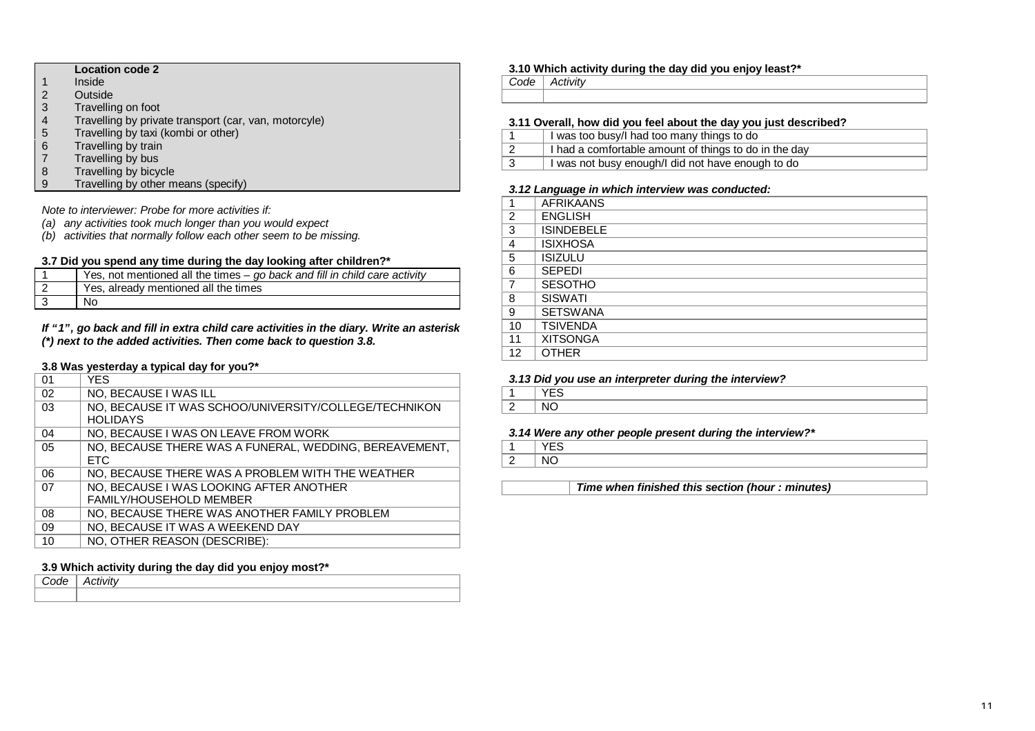#### **Location code 2**

- 1 Inside
- 2 Outside
- 3 Travelling on foot
- 4 Travelling by private transport (car, van, motorcyle)<br>5 Travelling by taxi (kombi or other)
- 5 Travelling by taxi (kombi or other)<br>6 Travelling by train
- 6 Travelling by train<br>7 Travelling by bus
- 7 Travelling by bus<br>8 Travelling by bicy
- 8 Travelling by bicycle<br>9 Travelling by other m
- Travelling by other means (specify)

*Note to interviewer: Probe for more activities if:*

- *(a) any activities took much longer than you would expect*
- *(b) activities that normally follow each other seem to be missing.*

#### **3.7 Did you spend any time during the day looking after children?\***

| Yes, not mentioned all the times $-$ go back and fill in child care activity |
|------------------------------------------------------------------------------|
| Yes, already mentioned all the times                                         |
| N٥                                                                           |

*If "1", go back and fill in extra child care activities in the diary. Write an asterisk (\*) next to the added activities. Then come back to question 3.8.*

#### **3.8 Was yesterday a typical day for you?\***

| 01 | <b>YES</b>                                                                |
|----|---------------------------------------------------------------------------|
| 02 | NO, BECAUSE I WAS ILL                                                     |
| 03 | NO. BECAUSE IT WAS SCHOO/UNIVERSITY/COLLEGE/TECHNIKON<br><b>HOLIDAYS</b>  |
| 04 | NO, BECAUSE I WAS ON LEAVE FROM WORK                                      |
| 05 | NO, BECAUSE THERE WAS A FUNERAL, WEDDING, BEREAVEMENT,<br><b>ETC</b>      |
| 06 | NO, BECAUSE THERE WAS A PROBLEM WITH THE WEATHER                          |
| 07 | NO, BECAUSE I WAS LOOKING AFTER ANOTHER<br><b>FAMILY/HOUSEHOLD MEMBER</b> |
| 08 | NO, BECAUSE THERE WAS ANOTHER FAMILY PROBLEM                              |
| 09 | NO, BECAUSE IT WAS A WEEKEND DAY                                          |
| 10 | NO, OTHER REASON (DESCRIBE):                                              |

## **3.9 Which activity during the day did you enjoy most?\***

| code | stivitv<br>Ar<br>$\cdot$ |
|------|--------------------------|
|      |                          |

## **3.10 Which activity during the day did you enjoy least?\***

|   | .   |
|---|-----|
| - | . . |
|   |     |

## **3.11 Overall, how did you feel about the day you just described?**

|   | I was too busy/I had too many things to do            |
|---|-------------------------------------------------------|
| ∸ | I had a comfortable amount of things to do in the day |
|   | I was not busy enough/I did not have enough to do     |

#### *3.12 Language in which interview was conducted:*

| 1              | <b>AFRIKAANS</b>  |
|----------------|-------------------|
| 2              | <b>ENGLISH</b>    |
| 3              | <b>ISINDEBELE</b> |
| $\overline{4}$ | <b>ISIXHOSA</b>   |
| 5              | <b>ISIZULU</b>    |
| 6              | <b>SEPEDI</b>     |
| 7              | <b>SESOTHO</b>    |
| 8              | <b>SISWATI</b>    |
| 9              | <b>SETSWANA</b>   |
| 10             | <b>TSIVENDA</b>   |
| 11             | <b>XITSONGA</b>   |
| 12             | <b>OTHER</b>      |
|                |                   |

#### *3.13 Did you use an interpreter during the interview?*

#### *3.14 Were any other people present during the interview?\**

| ⌒<br>- |  |  |  |
|--------|--|--|--|
|        |  |  |  |

*Time when finished this section (hour : minutes)*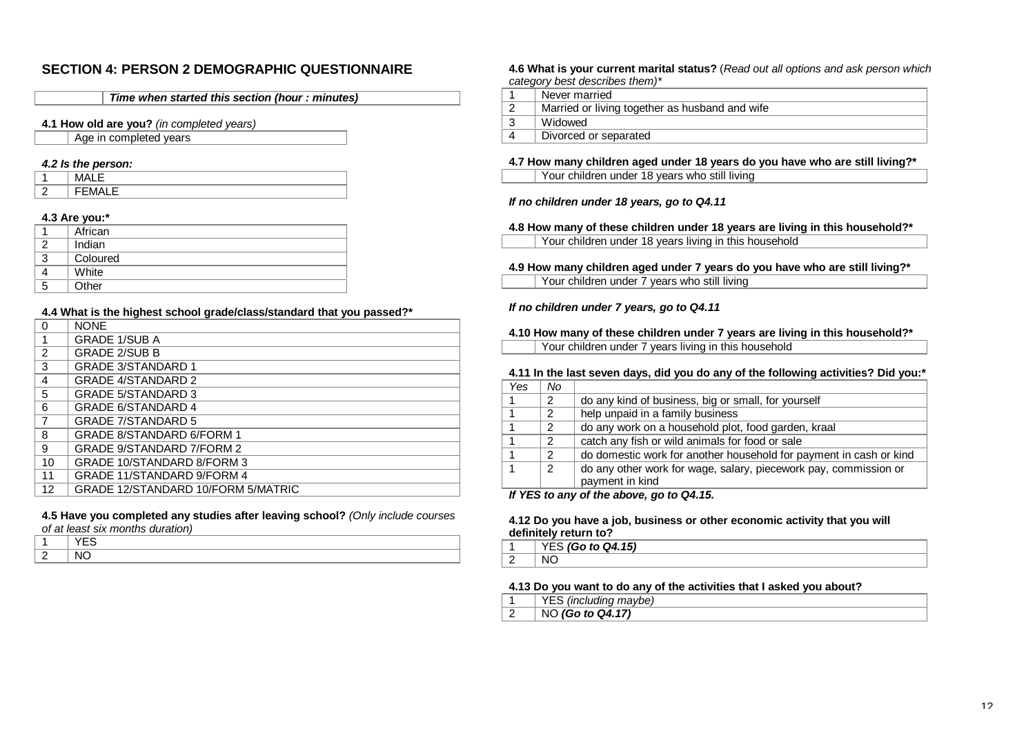## **SECTION 4: PERSON 2 DEMOGRAPHIC QUESTIONNAIRE**

## *Time when started this section (hour : minutes)*

## **4.1 How old are you?** *(in completed years)*

Age in completed years

#### *4.2 Is the person:*

## **4.3 Are you:\***

|        | African  |
|--------|----------|
| $\sim$ | Indian   |
| ົ<br>ن | Coloured |
|        | White    |
| 5      | Other    |

### **4.4 What is the highest school grade/class/standard that you passed?\***

| $\Omega$ | <b>NONE</b>                        |
|----------|------------------------------------|
| 1        | <b>GRADE 1/SUB A</b>               |
| 2        | <b>GRADE 2/SUB B</b>               |
| 3        | <b>GRADE 3/STANDARD 1</b>          |
| 4        | <b>GRADE 4/STANDARD 2</b>          |
| 5        | <b>GRADE 5/STANDARD 3</b>          |
| 6        | <b>GRADE 6/STANDARD 4</b>          |
| 7        | <b>GRADE 7/STANDARD 5</b>          |
| 8        | GRADE 8/STANDARD 6/FORM 1          |
| 9        | <b>GRADE 9/STANDARD 7/FORM 2</b>   |
| 10       | GRADE 10/STANDARD 8/FORM 3         |
| 11       | GRADE 11/STANDARD 9/FORM 4         |
| 12       | GRADE 12/STANDARD 10/FORM 5/MATRIC |

#### **4.5 Have you completed any studies after leaving school?** *(Only include courses of at least six months duration)*

### **4.6 What is your current marital status?** (*Read out all options and ask person which category best describes them)\**

| Never married                                  |
|------------------------------------------------|
| Married or living together as husband and wife |
| Widowed                                        |
| Divorced or separated                          |
|                                                |

**4.7 How many children aged under 18 years do you have who are still living?\***

| Your children under 18 years who still living |
|-----------------------------------------------|
|-----------------------------------------------|

## *If no children under 18 years, go to Q4.11*

**4.8 How many of these children under 18 years are living in this household?\***

Your children under 18 years living in this household

**4.9 How many children aged under 7 years do you have who are still living?\***

| Your children under 7 years who still living |  |
|----------------------------------------------|--|
|----------------------------------------------|--|

## *If no children under 7 years, go to Q4.11*

**4.10 How many of these children under 7 years are living in this household?\***

Your children under 7 years living in this household

## **4.11 In the last seven days, did you do any of the following activities? Did you:\***

| Yes                                           | No |                                                                    |
|-----------------------------------------------|----|--------------------------------------------------------------------|
|                                               | 2  | do any kind of business, big or small, for yourself                |
|                                               | 2  | help unpaid in a family business                                   |
|                                               | 2  | do any work on a household plot, food garden, kraal                |
|                                               | 2  | catch any fish or wild animals for food or sale                    |
|                                               | 2  | do domestic work for another household for payment in cash or kind |
|                                               | 2  | do any other work for wage, salary, piecework pay, commission or   |
|                                               |    | payment in kind                                                    |
| If $VFC$ is any of the chave no to $O$ if $E$ |    |                                                                    |

*If YES to any of the above, go to Q4.15.*

## **4.12 Do you have a job, business or other economic activity that you will definitely return to?**

| 4.15)<br>. |
|------------|
|            |

## **4.13 Do you want to do any of the activities that I asked you about?**

|          | evbe)<br>(Incluaing |  |
|----------|---------------------|--|
| ົດ<br>__ | NO (Go to Q4.17)    |  |
|          |                     |  |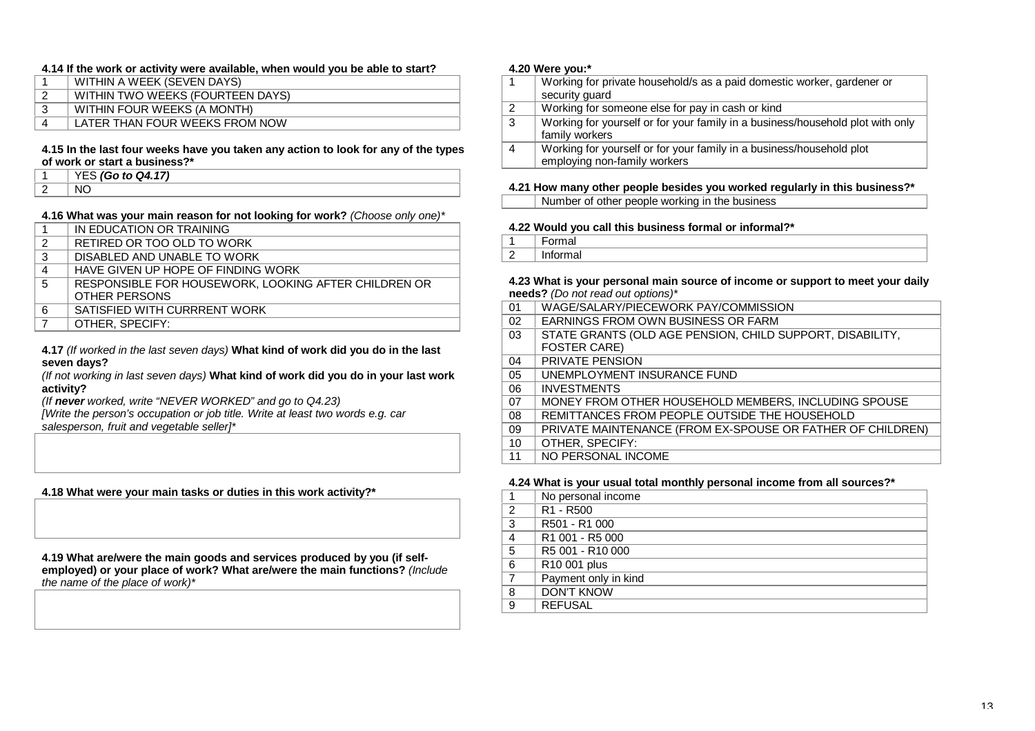#### **4.14 If the work or activity were available, when would you be able to start?**

- 1 | WITHIN A WEEK (SEVEN DAYS)
- 2 WITHIN TWO WEEKS (FOURTEEN DAYS)
- 3 WITHIN FOUR WEEKS (A MONTH)
- 4 LATER THAN FOUR WEEKS FROM NOW

#### **4.15 In the last four weeks have you taken any action to look for any of the types of work or start a business?\***

|        | to $Q4.17$ )<br>. |
|--------|-------------------|
| ∼<br>- |                   |

## **4.16 What was your main reason for not looking for work?** *(Choose only one)\**

|                | IN EDUCATION OR TRAINING                             |
|----------------|------------------------------------------------------|
| $\overline{2}$ | RETIRED OR TOO OLD TO WORK                           |
| 3              | DISABLED AND UNABLE TO WORK                          |
| $\overline{4}$ | HAVE GIVEN UP HOPE OF FINDING WORK                   |
| 5              | RESPONSIBLE FOR HOUSEWORK, LOOKING AFTER CHILDREN OR |
|                | OTHER PERSONS                                        |
| 6              | SATISFIED WITH CURRRENT WORK                         |
| $\overline{7}$ | OTHER, SPECIFY:                                      |

### **4.17** *(If worked in the last seven days)* **What kind of work did you do in the last seven days?**

*(If not working in last seven days)* **What kind of work did you do in your last work activity?**

*(If never worked, write "NEVER WORKED" and go to Q4.23)*

*[Write the person's occupation or job title. Write at least two words e.g. car salesperson, fruit and vegetable seller]\**

**4.18 What were your main tasks or duties in this work activity?\***

**4.19 What are/were the main goods and services produced by you (if selfemployed) or your place of work? What are/were the main functions?** *(Include the name of the place of work)\**

#### **4.20 Were you:\***

|   | Working for private household/s as a paid domestic worker, gardener or         |
|---|--------------------------------------------------------------------------------|
|   | security guard                                                                 |
| 2 | Working for someone else for pay in cash or kind                               |
| 3 | Working for yourself or for your family in a business/household plot with only |
|   | family workers                                                                 |
| 4 | Working for yourself or for your family in a business/household plot           |
|   | employing non-family workers                                                   |

#### **4.21 How many other people besides you worked regularly in this business?\***

Number of other people working in the business

#### **4.22 Would you call this business formal or informal?\***

|   | Formal   |
|---|----------|
| n | Informal |

#### **4.23 What is your personal main source of income or support to meet your daily needs?** *(Do not read out options)\**

| 01 | WAGE/SALARY/PIECEWORK PAY/COMMISSION                       |
|----|------------------------------------------------------------|
| 02 | EARNINGS FROM OWN BUSINESS OR FARM                         |
| 03 | STATE GRANTS (OLD AGE PENSION, CHILD SUPPORT, DISABILITY,  |
|    | <b>FOSTER CARE)</b>                                        |
| 04 | PRIVATE PENSION                                            |
| 05 | UNEMPLOYMENT INSURANCE FUND                                |
| 06 | <b>INVESTMENTS</b>                                         |
| 07 | MONEY FROM OTHER HOUSEHOLD MEMBERS, INCLUDING SPOUSE       |
| 08 | REMITTANCES FROM PEOPLE OUTSIDE THE HOUSEHOLD              |
| 09 | PRIVATE MAINTENANCE (FROM EX-SPOUSE OR FATHER OF CHILDREN) |
| 10 | OTHER. SPECIFY:                                            |
| 11 | NO PERSONAL INCOME                                         |

#### **4.24 What is your usual total monthly personal income from all sources?\***

|                | No personal income                      |
|----------------|-----------------------------------------|
| $\overline{2}$ | R <sub>1</sub> - R <sub>500</sub>       |
| 3              | R501 - R1 000                           |
| 4              | R <sub>1</sub> 001 - R <sub>5</sub> 000 |
| 5              | R5 001 - R10 000                        |
| 6              | R10 001 plus                            |
| 7              | Payment only in kind                    |
| 8              | <b>DON'T KNOW</b>                       |
| 9              | <b>REFUSAL</b>                          |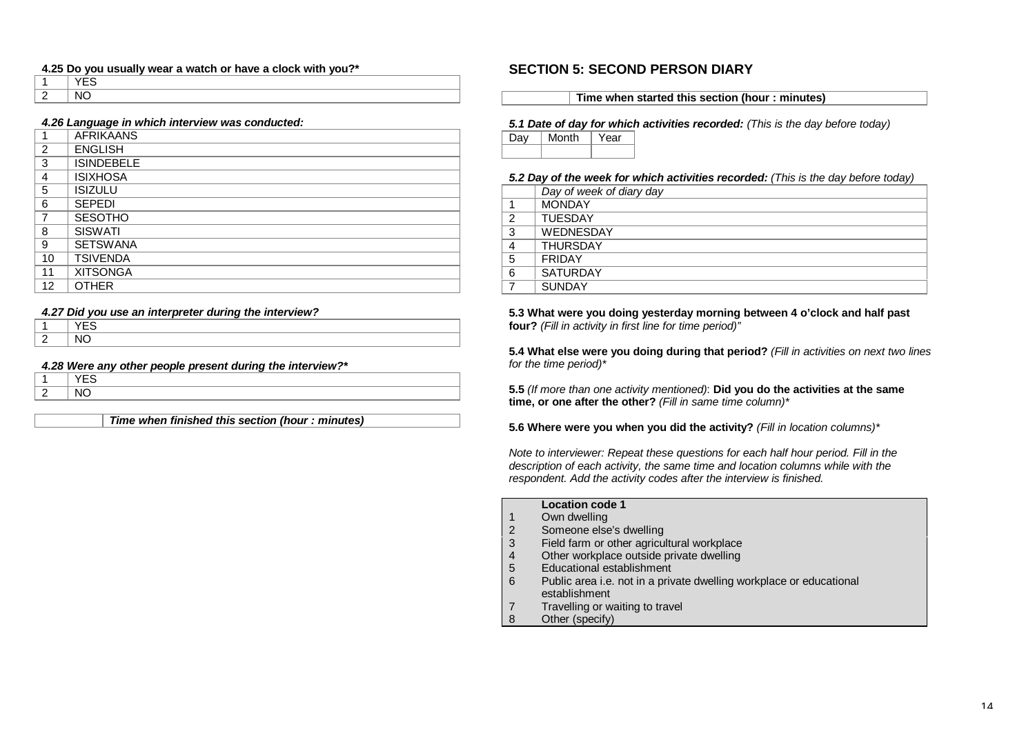## **4.25 Do you usually wear a watch or have a clock with you?\***

#### *4.26 Language in which interview was conducted:*

|    | <b>AFRIKAANS</b>  |
|----|-------------------|
| 2  | <b>ENGLISH</b>    |
| 3  | <b>ISINDEBELE</b> |
| 4  | <b>ISIXHOSA</b>   |
| 5  | <b>ISIZULU</b>    |
| 6  | <b>SEPEDI</b>     |
| 7  | <b>SESOTHO</b>    |
| 8  | <b>SISWATI</b>    |
| 9  | <b>SETSWANA</b>   |
| 10 | <b>TSIVENDA</b>   |
| 11 | <b>XITSONGA</b>   |
| 12 | <b>OTHER</b>      |

#### *4.27 Did you use an interpreter during the interview?*

## *4.28 Were any other people present during the interview?\**

*Time when finished this section (hour : minutes)*

## **SECTION 5: SECOND PERSON DIARY**

#### **Time when started this section (hour : minutes)**

*5.1 Date of day for which activities recorded: (This is the day before today)*



#### *5.2 Day of the week for which activities recorded: (This is the day before today)*

|   | Day of week of diary day |
|---|--------------------------|
|   | <b>MONDAY</b>            |
| 2 | <b>TUESDAY</b>           |
| 3 | <b>WEDNESDAY</b>         |
| 4 | <b>THURSDAY</b>          |
| 5 | <b>FRIDAY</b>            |
| 6 | <b>SATURDAY</b>          |
|   | <b>SUNDAY</b>            |

**5.3 What were you doing yesterday morning between 4 o'clock and half past four?** *(Fill in activity in first line for time period)"*

**5.4 What else were you doing during that period?** *(Fill in activities on next two lines for the time period)\**

**5.5** *(If more than one activity mentioned)*: **Did you do the activities at the same time, or one after the other?** *(Fill in same time column)\**

**5.6 Where were you when you did the activity?** *(Fill in location columns)\**

*Note to interviewer: Repeat these questions for each half hour period. Fill in the description of each activity, the same time and location columns while with the respondent. Add the activity codes after the interview is finished.*

|                | <b>Location code 1</b>                                                                      |
|----------------|---------------------------------------------------------------------------------------------|
| 1              | Own dwelling                                                                                |
| $\overline{2}$ | Someone else's dwelling                                                                     |
| 3              | Field farm or other agricultural workplace                                                  |
| 4              | Other workplace outside private dwelling                                                    |
| 5              | Educational establishment                                                                   |
| 6              | Public area <i>i.e.</i> not in a private dwelling workplace or educational<br>establishment |
| 7              | Travelling or waiting to travel                                                             |
| 8              | Other (specify)                                                                             |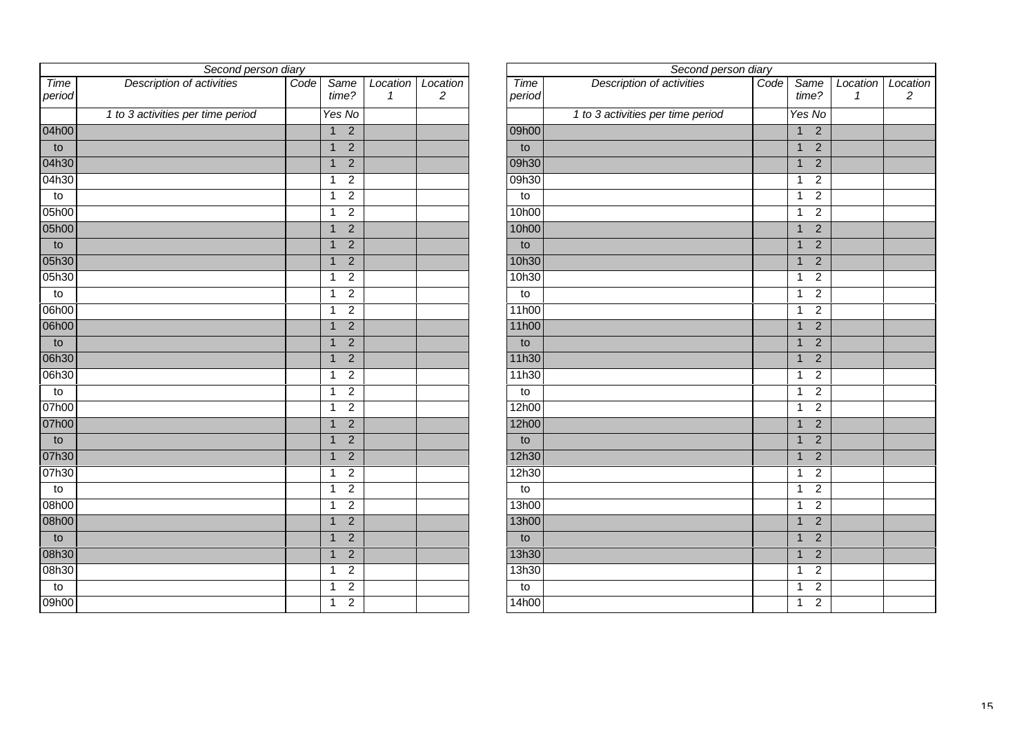| Second person diary               |      |                |                                                                                                                                                                                                                                                                                                                                                                                                                                                                                                                                                 |                                           |  |  |
|-----------------------------------|------|----------------|-------------------------------------------------------------------------------------------------------------------------------------------------------------------------------------------------------------------------------------------------------------------------------------------------------------------------------------------------------------------------------------------------------------------------------------------------------------------------------------------------------------------------------------------------|-------------------------------------------|--|--|
| Description of activities         | Code |                | Location<br>1                                                                                                                                                                                                                                                                                                                                                                                                                                                                                                                                   | Location<br>2                             |  |  |
| 1 to 3 activities per time period |      |                |                                                                                                                                                                                                                                                                                                                                                                                                                                                                                                                                                 |                                           |  |  |
|                                   |      | $\overline{1}$ |                                                                                                                                                                                                                                                                                                                                                                                                                                                                                                                                                 |                                           |  |  |
|                                   |      | $\overline{1}$ |                                                                                                                                                                                                                                                                                                                                                                                                                                                                                                                                                 |                                           |  |  |
|                                   |      | $\mathbf{1}$   |                                                                                                                                                                                                                                                                                                                                                                                                                                                                                                                                                 |                                           |  |  |
|                                   |      | 1              |                                                                                                                                                                                                                                                                                                                                                                                                                                                                                                                                                 |                                           |  |  |
|                                   |      | $\mathbf{1}$   |                                                                                                                                                                                                                                                                                                                                                                                                                                                                                                                                                 |                                           |  |  |
|                                   |      | 1              |                                                                                                                                                                                                                                                                                                                                                                                                                                                                                                                                                 |                                           |  |  |
|                                   |      | $\overline{1}$ |                                                                                                                                                                                                                                                                                                                                                                                                                                                                                                                                                 |                                           |  |  |
|                                   |      | $\overline{1}$ |                                                                                                                                                                                                                                                                                                                                                                                                                                                                                                                                                 |                                           |  |  |
|                                   |      | $\overline{1}$ |                                                                                                                                                                                                                                                                                                                                                                                                                                                                                                                                                 |                                           |  |  |
|                                   |      | $\mathbf{1}$   |                                                                                                                                                                                                                                                                                                                                                                                                                                                                                                                                                 |                                           |  |  |
|                                   |      | 1              |                                                                                                                                                                                                                                                                                                                                                                                                                                                                                                                                                 |                                           |  |  |
|                                   |      | $\overline{1}$ |                                                                                                                                                                                                                                                                                                                                                                                                                                                                                                                                                 |                                           |  |  |
|                                   |      | $\overline{1}$ |                                                                                                                                                                                                                                                                                                                                                                                                                                                                                                                                                 |                                           |  |  |
|                                   |      | $\mathbf{1}$   |                                                                                                                                                                                                                                                                                                                                                                                                                                                                                                                                                 |                                           |  |  |
|                                   |      | $\overline{1}$ |                                                                                                                                                                                                                                                                                                                                                                                                                                                                                                                                                 |                                           |  |  |
|                                   |      | 1              |                                                                                                                                                                                                                                                                                                                                                                                                                                                                                                                                                 |                                           |  |  |
|                                   |      | $\overline{1}$ |                                                                                                                                                                                                                                                                                                                                                                                                                                                                                                                                                 |                                           |  |  |
|                                   |      | $\overline{1}$ |                                                                                                                                                                                                                                                                                                                                                                                                                                                                                                                                                 |                                           |  |  |
|                                   |      | $\overline{1}$ |                                                                                                                                                                                                                                                                                                                                                                                                                                                                                                                                                 |                                           |  |  |
|                                   |      | $\mathbf{1}$   |                                                                                                                                                                                                                                                                                                                                                                                                                                                                                                                                                 |                                           |  |  |
|                                   |      | $\mathbf{1}$   |                                                                                                                                                                                                                                                                                                                                                                                                                                                                                                                                                 |                                           |  |  |
|                                   |      | 1              |                                                                                                                                                                                                                                                                                                                                                                                                                                                                                                                                                 |                                           |  |  |
|                                   |      | $\overline{1}$ |                                                                                                                                                                                                                                                                                                                                                                                                                                                                                                                                                 |                                           |  |  |
|                                   |      | 1              |                                                                                                                                                                                                                                                                                                                                                                                                                                                                                                                                                 |                                           |  |  |
|                                   |      | $\overline{1}$ |                                                                                                                                                                                                                                                                                                                                                                                                                                                                                                                                                 |                                           |  |  |
|                                   |      | $\overline{1}$ |                                                                                                                                                                                                                                                                                                                                                                                                                                                                                                                                                 |                                           |  |  |
|                                   |      | $\overline{1}$ |                                                                                                                                                                                                                                                                                                                                                                                                                                                                                                                                                 |                                           |  |  |
|                                   |      | $\mathbf{1}$   |                                                                                                                                                                                                                                                                                                                                                                                                                                                                                                                                                 |                                           |  |  |
|                                   |      | 1              |                                                                                                                                                                                                                                                                                                                                                                                                                                                                                                                                                 |                                           |  |  |
|                                   |      | 1              |                                                                                                                                                                                                                                                                                                                                                                                                                                                                                                                                                 |                                           |  |  |
|                                   |      |                | $\overline{2}$<br>$\overline{2}$<br>$\overline{2}$<br>$\overline{\mathbf{c}}$<br>$\overline{2}$<br>$\overline{2}$<br>$\overline{2}$<br>$\overline{2}$<br>$\overline{2}$<br>$\overline{2}$<br>$\overline{2}$<br>$\overline{2}$<br>$\overline{2}$<br>$\overline{2}$<br>$\overline{2}$<br>$\overline{c}$<br>$\overline{2}$<br>$\overline{2}$<br>$\overline{2}$<br>$\overline{2}$<br>$\overline{c}$<br>$\overline{2}$<br>$\overline{2}$<br>$\overline{2}$<br>$\overline{2}$<br>$\overline{2}$<br>$\overline{2}$<br>$\overline{2}$<br>$\overline{2}$ | Same<br>time?<br>Yes No<br>$\overline{2}$ |  |  |

| Second person diary |                                   |      |                |                |                          |                            |
|---------------------|-----------------------------------|------|----------------|----------------|--------------------------|----------------------------|
| Time<br>period      | Description of activities         | Code |                | Same<br>time?  | Location<br>$\mathbf{1}$ | Location<br>$\overline{c}$ |
|                     | 1 to 3 activities per time period |      | Yes No         |                |                          |                            |
| 09h00               |                                   |      | $\mathbf{1}$   | $\overline{2}$ |                          |                            |
| to                  |                                   |      | 1              | $\overline{2}$ |                          |                            |
| 09h30               |                                   |      | $\overline{1}$ | $\overline{2}$ |                          |                            |
| 09h30               |                                   |      | 1              | $\overline{2}$ |                          |                            |
| to                  |                                   |      | $\mathbf{1}$   | $\overline{2}$ |                          |                            |
| 10h00               |                                   |      | 1              | $\overline{2}$ |                          |                            |
| 10h00               |                                   |      | $\overline{1}$ | $\overline{2}$ |                          |                            |
| to                  |                                   |      | $\overline{1}$ | $\overline{2}$ |                          |                            |
| 10h30               |                                   |      | $\overline{1}$ | $\overline{2}$ |                          |                            |
| 10h30               |                                   |      | 1              | $\overline{2}$ |                          |                            |
| to                  |                                   |      | 1              | $\overline{2}$ |                          |                            |
| 11h00               |                                   |      | $\overline{1}$ | $\overline{2}$ |                          |                            |
| 11h00               |                                   |      | $\overline{1}$ | $\overline{2}$ |                          |                            |
| to                  |                                   |      | 1              | $\overline{2}$ |                          |                            |
| 11h30               |                                   |      | $\overline{1}$ | $\overline{2}$ |                          |                            |
| 11h30               |                                   |      | 1              | $\overline{2}$ |                          |                            |
| to                  |                                   |      | $\overline{1}$ | $\overline{2}$ |                          |                            |
| 12h00               |                                   |      | $\overline{1}$ | $\overline{2}$ |                          |                            |
| 12h00               |                                   |      | $\overline{1}$ | $\overline{2}$ |                          |                            |
| to                  |                                   |      | $\overline{1}$ | $\overline{2}$ |                          |                            |
| 12h30               |                                   |      | $\overline{1}$ | $\overline{2}$ |                          |                            |
| 12h30               |                                   |      | 1              | $\overline{2}$ |                          |                            |
| to                  |                                   |      | $\overline{1}$ | $\overline{2}$ |                          |                            |
| 13h00               |                                   |      | $\overline{1}$ | $\overline{2}$ |                          |                            |
| 13h00               |                                   |      | $\overline{1}$ | $\overline{2}$ |                          |                            |
| to                  |                                   |      | $\overline{1}$ | $\overline{2}$ |                          |                            |
| 13h30               |                                   |      | $\overline{1}$ | $\overline{2}$ |                          |                            |
| 13h30               |                                   |      | 1              | $\overline{2}$ |                          |                            |
| to                  |                                   |      | $\overline{1}$ | $\overline{2}$ |                          |                            |
| 14h00               |                                   |      | $\mathbf{1}$   | $\overline{2}$ |                          |                            |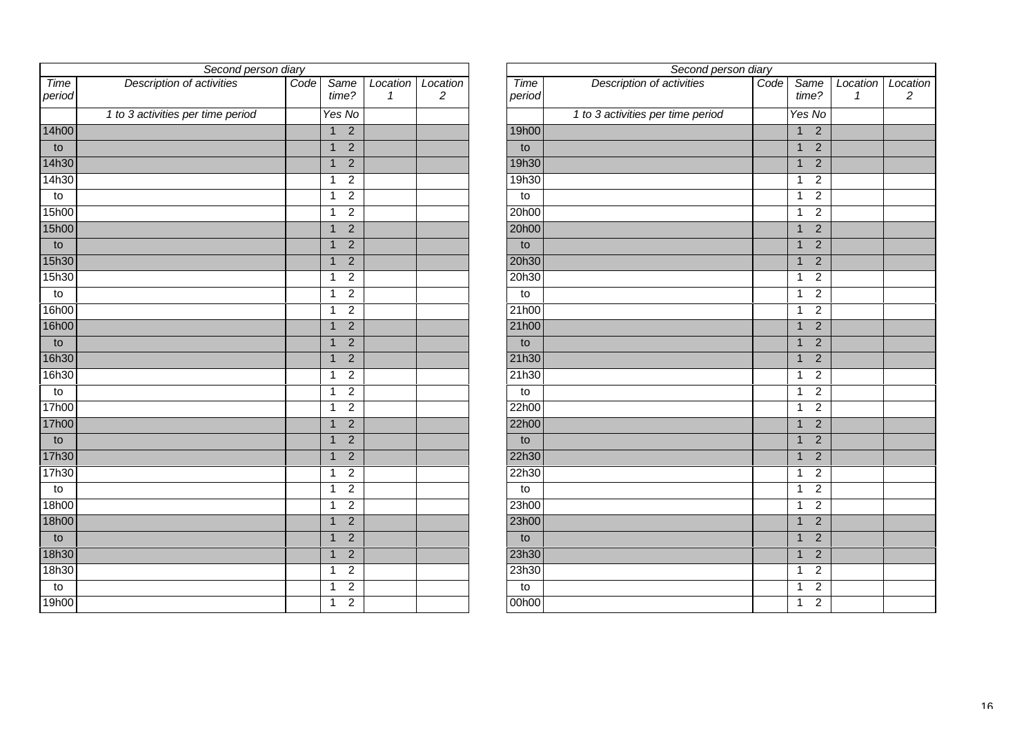|                 | Second person diary               |      |                |                         |               |               |
|-----------------|-----------------------------------|------|----------------|-------------------------|---------------|---------------|
| Time<br>period  | Description of activities         | Code |                | Same<br>time?           | Location<br>1 | Location<br>2 |
|                 | 1 to 3 activities per time period |      |                | Yes No                  |               |               |
| 14h00           |                                   |      | $\overline{1}$ | $\overline{2}$          |               |               |
| to              |                                   |      | $\mathbf{1}$   | $\overline{2}$          |               |               |
| 14h30           |                                   |      | $\mathbf{1}$   | $\overline{2}$          |               |               |
| 14h30           |                                   |      | 1              | $\overline{\mathbf{c}}$ |               |               |
| to              |                                   |      | 1              | $\overline{c}$          |               |               |
| 15h00           |                                   |      | 1              | $\overline{2}$          |               |               |
| 15h00           |                                   |      | $\overline{1}$ | $\overline{c}$          |               |               |
| $\overline{10}$ |                                   |      | $\overline{1}$ | $\overline{2}$          |               |               |
| 15h30           |                                   |      | $\overline{1}$ | $\overline{2}$          |               |               |
| 15h30           |                                   |      | 1              | $\overline{2}$          |               |               |
| to              |                                   |      | $\overline{1}$ | $\overline{2}$          |               |               |
| 16h00           |                                   |      | $\overline{1}$ | $\overline{2}$          |               |               |
| 16h00           |                                   |      | 1              | $\overline{2}$          |               |               |
| $\overline{10}$ |                                   |      | 1              | $\overline{2}$          |               |               |
| 16h30           |                                   |      | $\overline{1}$ | $\overline{2}$          |               |               |
| 16h30           |                                   |      | 1              | $\overline{c}$          |               |               |
| to              |                                   |      | $\overline{1}$ | $\overline{2}$          |               |               |
| 17h00           |                                   |      | $\overline{1}$ | $\overline{2}$          |               |               |
| 17h00           |                                   |      | $\overline{1}$ | $\overline{2}$          |               |               |
| to              |                                   |      | $\mathbf{1}$   | $\overline{2}$          |               |               |
| 17h30           |                                   |      | $\mathbf{1}$   | $\overline{2}$          |               |               |
| 17h30           |                                   |      | 1              | $\overline{c}$          |               |               |
| to              |                                   |      | $\overline{1}$ | $\overline{2}$          |               |               |
| 18h00           |                                   |      | 1              | $\overline{2}$          |               |               |
| 18h00           |                                   |      | $\overline{1}$ | $\overline{2}$          |               |               |
| to              |                                   |      | $\overline{1}$ | $\overline{2}$          |               |               |
| 18h30           |                                   |      | $\overline{1}$ | $\overline{2}$          |               |               |
| 18h30           |                                   |      | 1              | $\overline{2}$          |               |               |
| to              |                                   |      | 1              | $\overline{2}$          |               |               |
| 19h00           |                                   |      | 1              | $\overline{2}$          |               |               |

|                | Second person diary               |      |                |                         |                          |                            |  |
|----------------|-----------------------------------|------|----------------|-------------------------|--------------------------|----------------------------|--|
| Time<br>period | Description of activities         | Code |                | Same<br>time?           | Location<br>$\mathbf{1}$ | Location<br>$\overline{c}$ |  |
|                | 1 to 3 activities per time period |      |                | Yes No                  |                          |                            |  |
| 19h00          |                                   |      | 1              | $\overline{c}$          |                          |                            |  |
| to             |                                   |      | 1              | $\overline{2}$          |                          |                            |  |
| 19h30          |                                   |      | 1              | $\overline{2}$          |                          |                            |  |
| 19h30          |                                   |      | 1              | $\overline{c}$          |                          |                            |  |
| to             |                                   |      | 1              | $\overline{\mathbf{c}}$ |                          |                            |  |
| 20h00          |                                   |      | 1              | $\overline{2}$          |                          |                            |  |
| 20h00          |                                   |      | $\overline{1}$ | $\overline{2}$          |                          |                            |  |
| to             |                                   |      | $\mathbf{1}$   | $\overline{2}$          |                          |                            |  |
| 20h30          |                                   |      | 1              | $\overline{2}$          |                          |                            |  |
| 20h30          |                                   |      | 1              | $\overline{\mathbf{c}}$ |                          |                            |  |
| to             |                                   |      | 1              | 2                       |                          |                            |  |
| 21h00          |                                   |      | 1              | $\overline{c}$          |                          |                            |  |
| 21h00          |                                   |      | 1              | $\overline{2}$          |                          |                            |  |
| to             |                                   |      | $\mathbf{1}$   | $\overline{2}$          |                          |                            |  |
| 21h30          |                                   |      | $\mathbf{1}$   | $\overline{2}$          |                          |                            |  |
| 21h30          |                                   |      | 1              | 2                       |                          |                            |  |
| to             |                                   |      | 1              | $\overline{c}$          |                          |                            |  |
| 22h00          |                                   |      | 1              | $\overline{2}$          |                          |                            |  |
| 22h00          |                                   |      | 1              | $\overline{2}$          |                          |                            |  |
| to             |                                   |      | 1              | $\overline{2}$          |                          |                            |  |
| 22h30          |                                   |      | 1              | $\overline{2}$          |                          |                            |  |
| 22h30          |                                   |      | 1              | $\overline{c}$          |                          |                            |  |
| to             |                                   |      | 1              | $\overline{2}$          |                          |                            |  |
| 23h00          |                                   |      | 1              | $\overline{\mathbf{c}}$ |                          |                            |  |
| 23h00          |                                   |      | 1              | $\overline{2}$          |                          |                            |  |
| to             |                                   |      | 1              | $\overline{c}$          |                          |                            |  |
| 23h30          |                                   |      | 1              | $\overline{2}$          |                          |                            |  |
| 23h30          |                                   |      | 1              | $\overline{\mathbf{c}}$ |                          |                            |  |
| to             |                                   |      | 1              | $\overline{2}$          |                          |                            |  |
| 00h00          |                                   |      | 1              | $\overline{c}$          |                          |                            |  |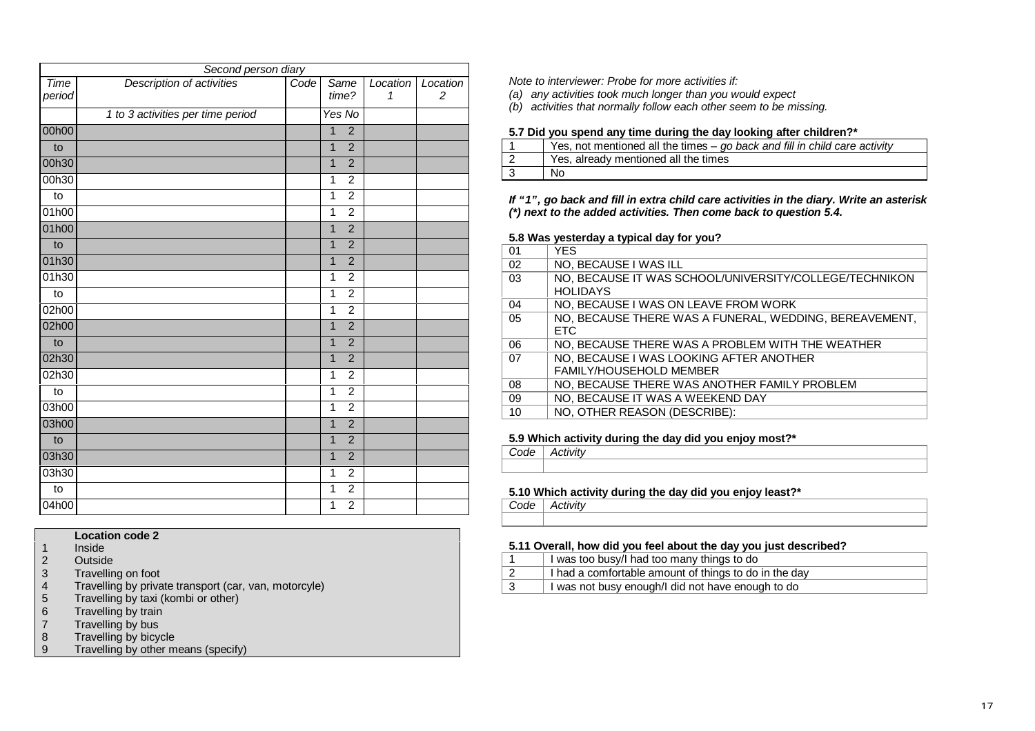| Second person diary          |                                   |      |                                  |               |                                     |  |
|------------------------------|-----------------------------------|------|----------------------------------|---------------|-------------------------------------|--|
| $\overline{T}$ ime<br>period | Description of activities         | Code | Same<br>time?                    | Location<br>1 | Location<br>$\overline{\mathbf{c}}$ |  |
|                              | 1 to 3 activities per time period |      | Yes No                           |               |                                     |  |
| 00h00                        |                                   |      | $\overline{2}$<br>1              |               |                                     |  |
| to                           |                                   |      | $\overline{1}$<br>$\overline{2}$ |               |                                     |  |
| 00h30                        |                                   |      | 1<br>$\overline{2}$              |               |                                     |  |
| 00h30                        |                                   |      | $\overline{2}$<br>1              |               |                                     |  |
| to                           |                                   |      | 1<br>$\overline{2}$              |               |                                     |  |
| 01h00                        |                                   |      | 1<br>$\overline{2}$              |               |                                     |  |
| 01h00                        |                                   |      | $\overline{2}$<br>1              |               |                                     |  |
| to                           |                                   |      | 1<br>$\overline{2}$              |               |                                     |  |
| 01h30                        |                                   |      | 1<br>$\overline{2}$              |               |                                     |  |
| 01h30                        |                                   |      | $\overline{c}$<br>1              |               |                                     |  |
| to                           |                                   |      | 1<br>$\overline{c}$              |               |                                     |  |
| 02h00                        |                                   |      | $\overline{2}$<br>1              |               |                                     |  |
| 02h00                        |                                   |      | $\overline{2}$<br>$\overline{1}$ |               |                                     |  |
| to                           |                                   |      | $\overline{2}$<br>1              |               |                                     |  |
| 02h30                        |                                   |      | $\overline{2}$<br>1              |               |                                     |  |
| 02h30                        |                                   |      | $\overline{c}$<br>1              |               |                                     |  |
| to                           |                                   |      | $\overline{c}$<br>1              |               |                                     |  |
| 03h00                        |                                   |      | $\overline{2}$<br>1              |               |                                     |  |
| 03h00                        |                                   |      | $\overline{1}$<br>$\overline{2}$ |               |                                     |  |
| to                           |                                   |      | $\overline{2}$<br>1              |               |                                     |  |
| 03h30                        |                                   |      | $\overline{2}$<br>$\overline{1}$ |               |                                     |  |
| 03h30                        |                                   |      | $\overline{2}$<br>1              |               |                                     |  |
| to                           |                                   |      | $\overline{2}$<br>1              |               |                                     |  |
| 04h00                        |                                   |      | $\overline{2}$<br>1              |               |                                     |  |

## **Location code 2**

- 1 Inside<br>2 Outsid
- 2 Outside<br>3 Travellin
- **Travelling on foot**
- 4 Travelling by private transport (car, van, motorcyle)<br>5 Travelling by taxi (kombi or other)
- 5 Travelling by taxi (kombi or other)<br>6 Travelling by train
- Travelling by train
- 7 Travelling by bus<br>8 Travelling by bicy
- Travelling by bicycle
- 9 Travelling by other means (specify)

*Note to interviewer: Probe for more activities if:*

*(a) any activities took much longer than you would expect*

*(b) activities that normally follow each other seem to be missing.*

## **5.7 Did you spend any time during the day looking after children?\***

| Yes, not mentioned all the times $-$ go back and fill in child care activity |
|------------------------------------------------------------------------------|
| Yes, already mentioned all the times                                         |
| No.                                                                          |

*If "1", go back and fill in extra child care activities in the diary. Write an asterisk (\*) next to the added activities. Then come back to question 5.4.*

**5.8 Was yesterday a typical day for you?**

| 01 | YFS                                                                       |
|----|---------------------------------------------------------------------------|
| 02 | NO, BECAUSE I WAS ILL                                                     |
| 03 | NO, BECAUSE IT WAS SCHOOL/UNIVERSITY/COLLEGE/TECHNIKON<br><b>HOLIDAYS</b> |
| 04 | NO, BECAUSE I WAS ON LEAVE FROM WORK                                      |
| 05 | NO, BECAUSE THERE WAS A FUNERAL, WEDDING, BEREAVEMENT,<br>ETC.            |
| 06 | NO, BECAUSE THERE WAS A PROBLEM WITH THE WEATHER                          |
| 07 | NO, BECAUSE I WAS LOOKING AFTER ANOTHER<br><b>FAMILY/HOUSEHOLD MEMBER</b> |
| 08 | NO, BECAUSE THERE WAS ANOTHER FAMILY PROBLEM                              |
| 09 | NO, BECAUSE IT WAS A WEEKEND DAY                                          |
| 10 | NO, OTHER REASON (DESCRIBE):                                              |

## **5.9 Which activity during the day did you enjoy most?\***

| Code   Activity |  |  |
|-----------------|--|--|
|                 |  |  |

## **5.10 Which activity during the day did you enjoy least?\***

| Code | Activity |
|------|----------|
|      |          |

## **5.11 Overall, how did you feel about the day you just described?**

|  | I was too busy/I had too many things to do            |
|--|-------------------------------------------------------|
|  | I had a comfortable amount of things to do in the day |
|  | I was not busy enough/I did not have enough to do     |